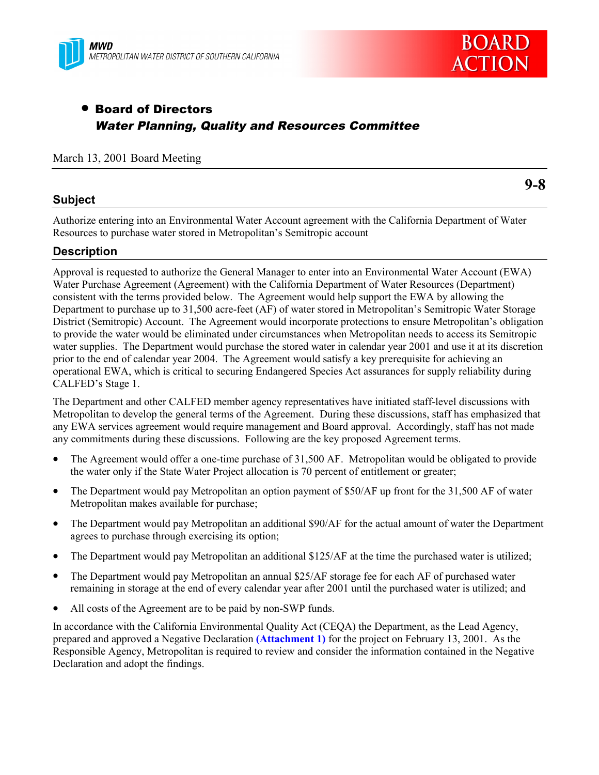



## • Board of Directors Water Planning, Quality and Resources Committee

#### March 13, 2001 Board Meeting

#### **Subject**

**9-8**

Authorize entering into an Environmental Water Account agreement with the California Department of Water Resources to purchase water stored in Metropolitan's Semitropic account

#### **Description**

Approval is requested to authorize the General Manager to enter into an Environmental Water Account (EWA) Water Purchase Agreement (Agreement) with the California Department of Water Resources (Department) consistent with the terms provided below. The Agreement would help support the EWA by allowing the Department to purchase up to 31,500 acre-feet (AF) of water stored in Metropolitan's Semitropic Water Storage District (Semitropic) Account. The Agreement would incorporate protections to ensure Metropolitan's obligation to provide the water would be eliminated under circumstances when Metropolitan needs to access its Semitropic water supplies. The Department would purchase the stored water in calendar year 2001 and use it at its discretion prior to the end of calendar year 2004. The Agreement would satisfy a key prerequisite for achieving an operational EWA, which is critical to securing Endangered Species Act assurances for supply reliability during CALFED's Stage 1.

The Department and other CALFED member agency representatives have initiated staff-level discussions with Metropolitan to develop the general terms of the Agreement. During these discussions, staff has emphasized that any EWA services agreement would require management and Board approval. Accordingly, staff has not made any commitments during these discussions. Following are the key proposed Agreement terms.

- The Agreement would offer a one-time purchase of 31,500 AF. Metropolitan would be obligated to provide the water only if the State Water Project allocation is 70 percent of entitlement or greater;
- The Department would pay Metropolitan an option payment of \$50/AF up front for the 31,500 AF of water Metropolitan makes available for purchase;
- The Department would pay Metropolitan an additional \$90/AF for the actual amount of water the Department agrees to purchase through exercising its option;
- The Department would pay Metropolitan an additional \$125/AF at the time the purchased water is utilized;
- The Department would pay Metropolitan an annual \$25/AF storage fee for each AF of purchased water remaining in storage at the end of every calendar year after 2001 until the purchased water is utilized; and
- All costs of the Agreement are to be paid by non-SWP funds.

In accordance with the California Environmental Quality Act (CEQA) the Department, as the Lead Agency, prepared and approved a Negative Declaration **(Attachment 1)** for the project on February 13, 2001. As the Responsible Agency, Metropolitan is required to review and consider the information contained in the Negative Declaration and adopt the findings.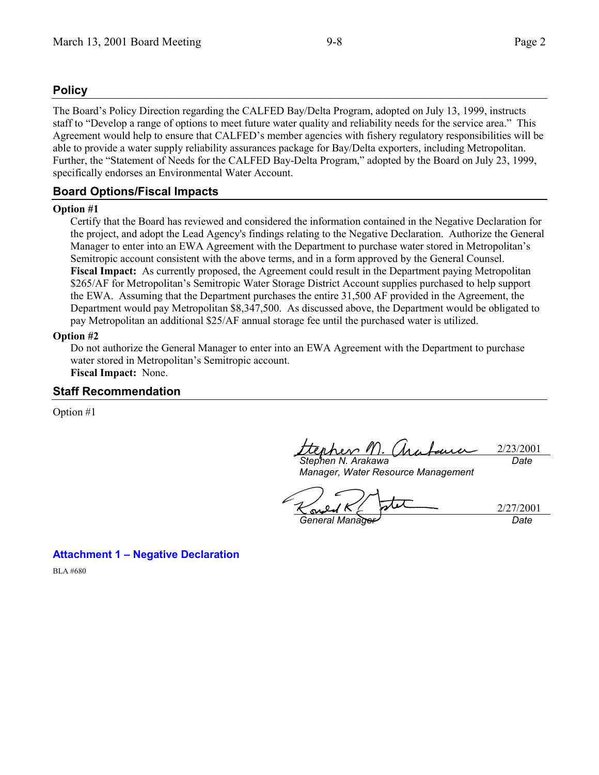#### **Policy**

The Board's Policy Direction regarding the CALFED Bay/Delta Program, adopted on July 13, 1999, instructs staff to "Develop a range of options to meet future water quality and reliability needs for the service area." This Agreement would help to ensure that CALFED's member agencies with fishery regulatory responsibilities will be able to provide a water supply reliability assurances package for Bay/Delta exporters, including Metropolitan. Further, the "Statement of Needs for the CALFED Bay-Delta Program," adopted by the Board on July 23, 1999, specifically endorses an Environmental Water Account.

#### **Board Options/Fiscal Impacts**

#### **Option #1**

Certify that the Board has reviewed and considered the information contained in the Negative Declaration for the project, and adopt the Lead Agency's findings relating to the Negative Declaration. Authorize the General Manager to enter into an EWA Agreement with the Department to purchase water stored in Metropolitan's Semitropic account consistent with the above terms, and in a form approved by the General Counsel. **Fiscal Impact:** As currently proposed, the Agreement could result in the Department paying Metropolitan \$265/AF for Metropolitan's Semitropic Water Storage District Account supplies purchased to help support the EWA. Assuming that the Department purchases the entire 31,500 AF provided in the Agreement, the Department would pay Metropolitan \$8,347,500. As discussed above, the Department would be obligated to pay Metropolitan an additional \$25/AF annual storage fee until the purchased water is utilized.

#### **Option #2**

Do not authorize the General Manager to enter into an EWA Agreement with the Department to purchase water stored in Metropolitan's Semitropic account. **Fiscal Impact:** None.

#### **Staff Recommendation**

Option #1

Erhev 11) 2/23/2001 *Date*

*Stephen N. Arakawa Manager, Water Resource Management*

2/27/2001  $\infty$ *General Manager Date*

#### **Attachment 1 – Negative Declaration**

BLA #680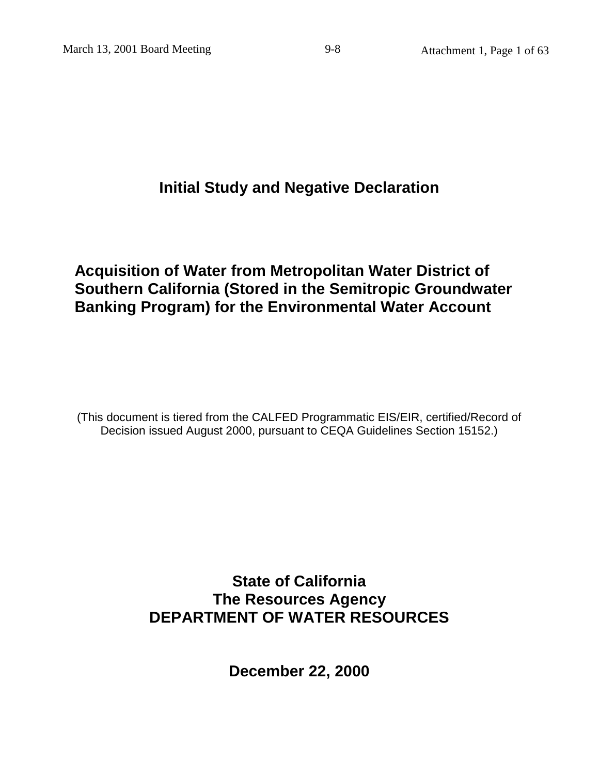# **Initial Study and Negative Declaration**

# **Acquisition of Water from Metropolitan Water District of Southern California (Stored in the Semitropic Groundwater Banking Program) for the Environmental Water Account**

(This document is tiered from the CALFED Programmatic EIS/EIR, certified/Record of Decision issued August 2000, pursuant to CEQA Guidelines Section 15152.)

> **State of California The Resources Agency DEPARTMENT OF WATER RESOURCES**

> > **December 22, 2000**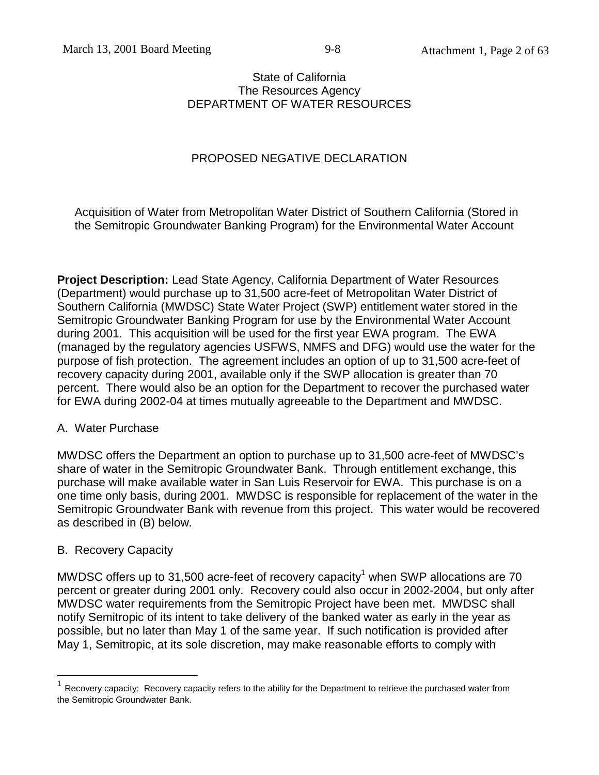#### State of California The Resources Agency DEPARTMENT OF WATER RESOURCES

#### PROPOSED NEGATIVE DECLARATION

Acquisition of Water from Metropolitan Water District of Southern California (Stored in the Semitropic Groundwater Banking Program) for the Environmental Water Account

**Project Description:** Lead State Agency, California Department of Water Resources (Department) would purchase up to 31,500 acre-feet of Metropolitan Water District of Southern California (MWDSC) State Water Project (SWP) entitlement water stored in the Semitropic Groundwater Banking Program for use by the Environmental Water Account during 2001. This acquisition will be used for the first year EWA program. The EWA (managed by the regulatory agencies USFWS, NMFS and DFG) would use the water for the purpose of fish protection. The agreement includes an option of up to 31,500 acre-feet of recovery capacity during 2001, available only if the SWP allocation is greater than 70 percent. There would also be an option for the Department to recover the purchased water for EWA during 2002-04 at times mutually agreeable to the Department and MWDSC.

#### A. Water Purchase

MWDSC offers the Department an option to purchase up to 31,500 acre-feet of MWDSC's share of water in the Semitropic Groundwater Bank. Through entitlement exchange, this purchase will make available water in San Luis Reservoir for EWA. This purchase is on a one time only basis, during 2001. MWDSC is responsible for replacement of the water in the Semitropic Groundwater Bank with revenue from this project. This water would be recovered as described in (B) below.

#### B. Recovery Capacity

1

MWDSC offers up to 31,500 acre-feet of recovery capacity<sup>1</sup> when SWP allocations are 70 percent or greater during 2001 only. Recovery could also occur in 2002-2004, but only after MWDSC water requirements from the Semitropic Project have been met. MWDSC shall notify Semitropic of its intent to take delivery of the banked water as early in the year as possible, but no later than May 1 of the same year. If such notification is provided after May 1, Semitropic, at its sole discretion, may make reasonable efforts to comply with

Recovery capacity: Recovery capacity refers to the ability for the Department to retrieve the purchased water from the Semitropic Groundwater Bank.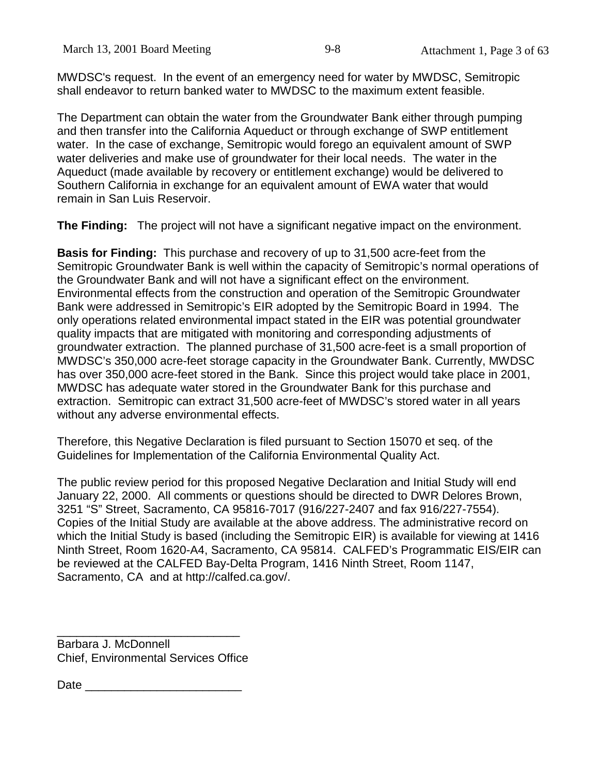MWDSC's request. In the event of an emergency need for water by MWDSC, Semitropic shall endeavor to return banked water to MWDSC to the maximum extent feasible.

The Department can obtain the water from the Groundwater Bank either through pumping and then transfer into the California Aqueduct or through exchange of SWP entitlement water. In the case of exchange, Semitropic would forego an equivalent amount of SWP water deliveries and make use of groundwater for their local needs. The water in the Aqueduct (made available by recovery or entitlement exchange) would be delivered to Southern California in exchange for an equivalent amount of EWA water that would remain in San Luis Reservoir.

**The Finding:** The project will not have a significant negative impact on the environment.

**Basis for Finding:** This purchase and recovery of up to 31,500 acre-feet from the Semitropic Groundwater Bank is well within the capacity of Semitropic's normal operations of the Groundwater Bank and will not have a significant effect on the environment. Environmental effects from the construction and operation of the Semitropic Groundwater Bank were addressed in Semitropic's EIR adopted by the Semitropic Board in 1994. The only operations related environmental impact stated in the EIR was potential groundwater quality impacts that are mitigated with monitoring and corresponding adjustments of groundwater extraction. The planned purchase of 31,500 acre-feet is a small proportion of MWDSC's 350,000 acre-feet storage capacity in the Groundwater Bank. Currently, MWDSC has over 350,000 acre-feet stored in the Bank. Since this project would take place in 2001, MWDSC has adequate water stored in the Groundwater Bank for this purchase and extraction. Semitropic can extract 31,500 acre-feet of MWDSC's stored water in all years without any adverse environmental effects.

Therefore, this Negative Declaration is filed pursuant to Section 15070 et seq. of the Guidelines for Implementation of the California Environmental Quality Act.

The public review period for this proposed Negative Declaration and Initial Study will end January 22, 2000. All comments or questions should be directed to DWR Delores Brown, 3251 "S" Street, Sacramento, CA 95816-7017 (916/227-2407 and fax 916/227-7554). Copies of the Initial Study are available at the above address. The administrative record on which the Initial Study is based (including the Semitropic EIR) is available for viewing at 1416 Ninth Street, Room 1620-A4, Sacramento, CA 95814. CALFED's Programmatic EIS/EIR can be reviewed at the CALFED Bay-Delta Program, 1416 Ninth Street, Room 1147, Sacramento, CA and at http://calfed.ca.gov/.

Barbara J. McDonnell Chief, Environmental Services Office

\_\_\_\_\_\_\_\_\_\_\_\_\_\_\_\_\_\_\_\_\_\_\_\_\_\_\_\_

Date \_\_\_\_\_\_\_\_\_\_\_\_\_\_\_\_\_\_\_\_\_\_\_\_\_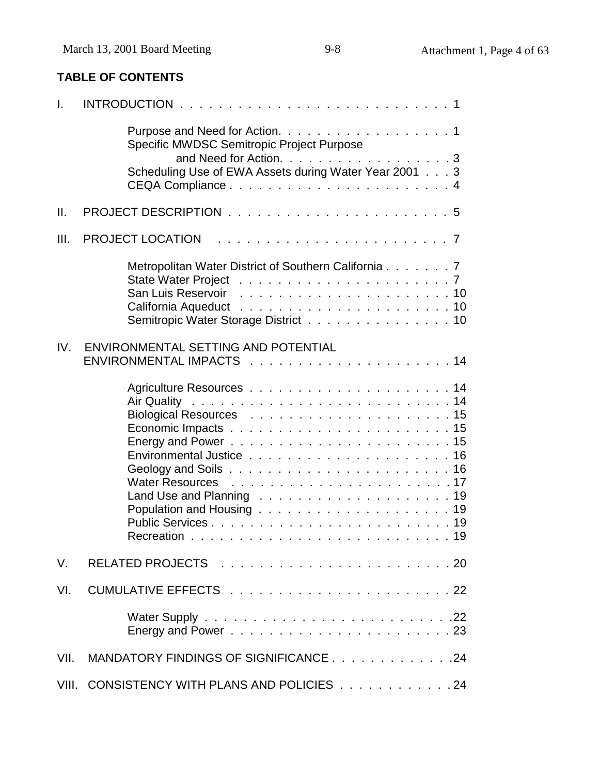## **TABLE OF CONTENTS**

| L.   |                                                                                              |
|------|----------------------------------------------------------------------------------------------|
|      | Purpose and Need for Action. 1<br>Specific MWDSC Semitropic Project Purpose                  |
|      | and Need for Action. 3<br>Scheduling Use of EWA Assets during Water Year 2001 3              |
| II.  |                                                                                              |
| III. | PROJECT LOCATION                                                                             |
|      | Metropolitan Water District of Southern California 7<br>Semitropic Water Storage District 10 |
| IV.  | ENVIRONMENTAL SETTING AND POTENTIAL                                                          |
|      |                                                                                              |
|      |                                                                                              |
|      |                                                                                              |
|      |                                                                                              |
|      | VII. MANDATORY FINDINGS OF SIGNIFICANCE 24                                                   |
|      | VIII. CONSISTENCY WITH PLANS AND POLICIES 24                                                 |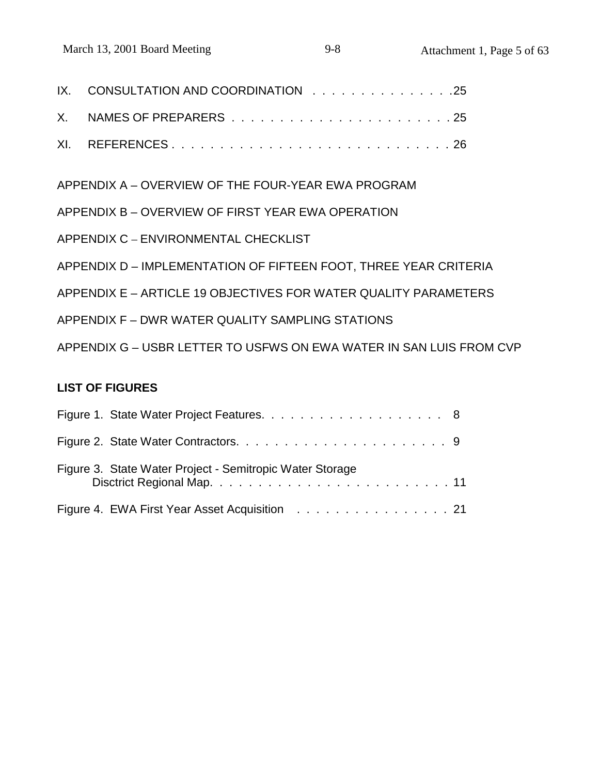APPENDIX A – OVERVIEW OF THE FOUR-YEAR EWA PROGRAM

APPENDIX B – OVERVIEW OF FIRST YEAR EWA OPERATION

APPENDIX C – ENVIRONMENTAL CHECKLIST

APPENDIX D – IMPLEMENTATION OF FIFTEEN FOOT, THREE YEAR CRITERIA

APPENDIX E – ARTICLE 19 OBJECTIVES FOR WATER QUALITY PARAMETERS

APPENDIX F – DWR WATER QUALITY SAMPLING STATIONS

APPENDIX G – USBR LETTER TO USFWS ON EWA WATER IN SAN LUIS FROM CVP

#### **LIST OF FIGURES**

| Figure 3. State Water Project - Semitropic Water Storage |  |
|----------------------------------------------------------|--|
| Figure 4. EWA First Year Asset Acquisition 21            |  |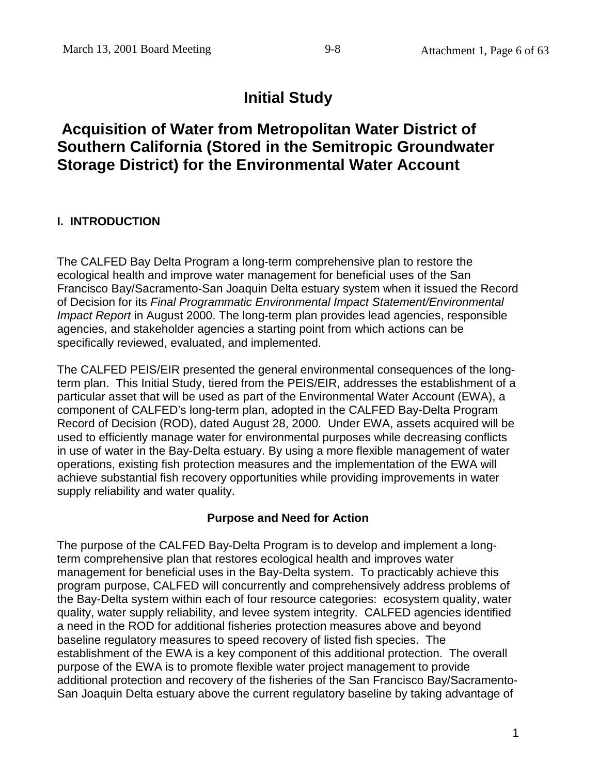# **Initial Study**

## **Acquisition of Water from Metropolitan Water District of Southern California (Stored in the Semitropic Groundwater Storage District) for the Environmental Water Account**

## **I. INTRODUCTION**

The CALFED Bay Delta Program a long-term comprehensive plan to restore the ecological health and improve water management for beneficial uses of the San Francisco Bay/Sacramento-San Joaquin Delta estuary system when it issued the Record of Decision for its *Final Programmatic Environmental Impact Statement/Environmental Impact Report* in August 2000. The long-term plan provides lead agencies, responsible agencies, and stakeholder agencies a starting point from which actions can be specifically reviewed, evaluated, and implemented.

The CALFED PEIS/EIR presented the general environmental consequences of the longterm plan. This Initial Study, tiered from the PEIS/EIR, addresses the establishment of a particular asset that will be used as part of the Environmental Water Account (EWA), a component of CALFED's long-term plan, adopted in the CALFED Bay-Delta Program Record of Decision (ROD), dated August 28, 2000. Under EWA, assets acquired will be used to efficiently manage water for environmental purposes while decreasing conflicts in use of water in the Bay-Delta estuary. By using a more flexible management of water operations, existing fish protection measures and the implementation of the EWA will achieve substantial fish recovery opportunities while providing improvements in water supply reliability and water quality.

## **Purpose and Need for Action**

The purpose of the CALFED Bay-Delta Program is to develop and implement a longterm comprehensive plan that restores ecological health and improves water management for beneficial uses in the Bay-Delta system. To practicably achieve this program purpose, CALFED will concurrently and comprehensively address problems of the Bay-Delta system within each of four resource categories: ecosystem quality, water quality, water supply reliability, and levee system integrity. CALFED agencies identified a need in the ROD for additional fisheries protection measures above and beyond baseline regulatory measures to speed recovery of listed fish species. The establishment of the EWA is a key component of this additional protection. The overall purpose of the EWA is to promote flexible water project management to provide additional protection and recovery of the fisheries of the San Francisco Bay/Sacramento-San Joaquin Delta estuary above the current regulatory baseline by taking advantage of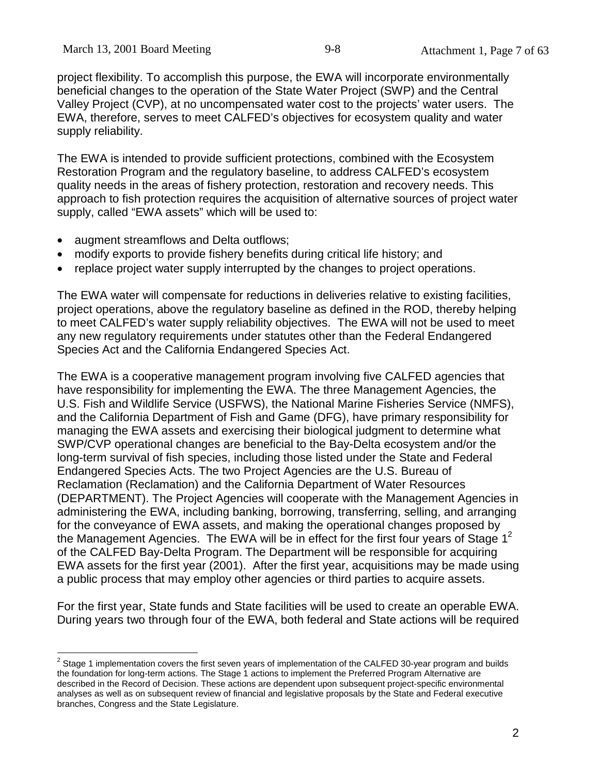project flexibility. To accomplish this purpose, the EWA will incorporate environmentally beneficial changes to the operation of the State Water Project (SWP) and the Central Valley Project (CVP), at no uncompensated water cost to the projects' water users. The EWA, therefore, serves to meet CALFED's objectives for ecosystem quality and water supply reliability.

The EWA is intended to provide sufficient protections, combined with the Ecosystem Restoration Program and the regulatory baseline, to address CALFED's ecosystem quality needs in the areas of fishery protection, restoration and recovery needs. This approach to fish protection requires the acquisition of alternative sources of project water supply, called "EWA assets" which will be used to:

- augment streamflows and Delta outflows;
- modify exports to provide fishery benefits during critical life history; and
- replace project water supply interrupted by the changes to project operations.

The EWA water will compensate for reductions in deliveries relative to existing facilities, project operations, above the regulatory baseline as defined in the ROD, thereby helping to meet CALFED's water supply reliability objectives. The EWA will not be used to meet any new regulatory requirements under statutes other than the Federal Endangered Species Act and the California Endangered Species Act.

The EWA is a cooperative management program involving five CALFED agencies that have responsibility for implementing the EWA. The three Management Agencies, the U.S. Fish and Wildlife Service (USFWS), the National Marine Fisheries Service (NMFS), and the California Department of Fish and Game (DFG), have primary responsibility for managing the EWA assets and exercising their biological judgment to determine what SWP/CVP operational changes are beneficial to the Bay-Delta ecosystem and/or the long-term survival of fish species, including those listed under the State and Federal Endangered Species Acts. The two Project Agencies are the U.S. Bureau of Reclamation (Reclamation) and the California Department of Water Resources (DEPARTMENT). The Project Agencies will cooperate with the Management Agencies in administering the EWA, including banking, borrowing, transferring, selling, and arranging for the conveyance of EWA assets, and making the operational changes proposed by the Management Agencies. The EWA will be in effect for the first four years of Stage  $1<sup>2</sup>$ of the CALFED Bay-Delta Program. The Department will be responsible for acquiring EWA assets for the first year (2001). After the first year, acquisitions may be made using a public process that may employ other agencies or third parties to acquire assets.

For the first year, State funds and State facilities will be used to create an operable EWA. During years two through four of the EWA, both federal and State actions will be required

 2 Stage 1 implementation covers the first seven years of implementation of the CALFED 30-year program and builds the foundation for long-term actions. The Stage 1 actions to implement the Preferred Program Alternative are described in the Record of Decision. These actions are dependent upon subsequent project-specific environmental analyses as well as on subsequent review of financial and legislative proposals by the State and Federal executive branches, Congress and the State Legislature.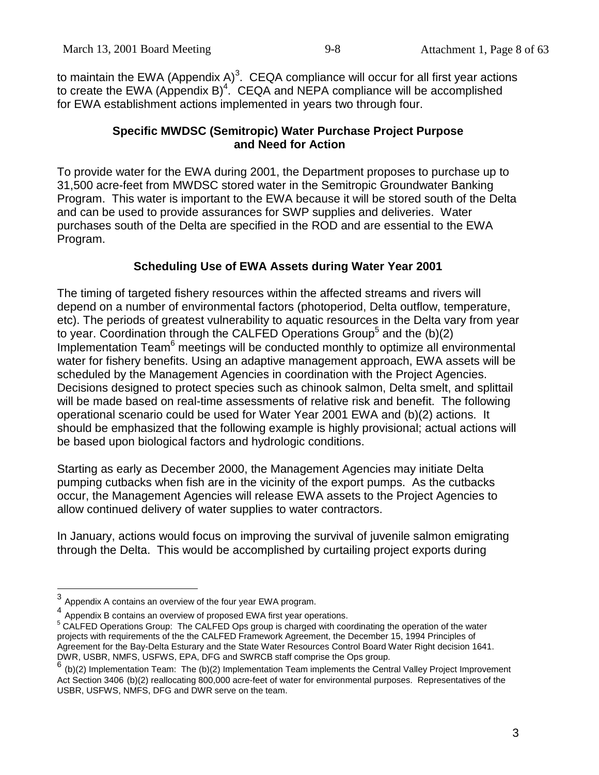to maintain the EWA (Appendix A)<sup>3</sup>. CEQA compliance will occur for all first year actions to create the EWA (Appendix B)<sup>4</sup>. CEQA and NEPA compliance will be accomplished for EWA establishment actions implemented in years two through four.

#### **Specific MWDSC (Semitropic) Water Purchase Project Purpose and Need for Action**

To provide water for the EWA during 2001, the Department proposes to purchase up to 31,500 acre-feet from MWDSC stored water in the Semitropic Groundwater Banking Program. This water is important to the EWA because it will be stored south of the Delta and can be used to provide assurances for SWP supplies and deliveries. Water purchases south of the Delta are specified in the ROD and are essential to the EWA Program.

## **Scheduling Use of EWA Assets during Water Year 2001**

The timing of targeted fishery resources within the affected streams and rivers will depend on a number of environmental factors (photoperiod, Delta outflow, temperature, etc). The periods of greatest vulnerability to aquatic resources in the Delta vary from year to year. Coordination through the CALFED Operations Group<sup>5</sup> and the (b)(2) Implementation Team<sup>6</sup> meetings will be conducted monthly to optimize all environmental water for fishery benefits. Using an adaptive management approach, EWA assets will be scheduled by the Management Agencies in coordination with the Project Agencies. Decisions designed to protect species such as chinook salmon, Delta smelt, and splittail will be made based on real-time assessments of relative risk and benefit. The following operational scenario could be used for Water Year 2001 EWA and (b)(2) actions. It should be emphasized that the following example is highly provisional; actual actions will be based upon biological factors and hydrologic conditions.

Starting as early as December 2000, the Management Agencies may initiate Delta pumping cutbacks when fish are in the vicinity of the export pumps. As the cutbacks occur, the Management Agencies will release EWA assets to the Project Agencies to allow continued delivery of water supplies to water contractors.

In January, actions would focus on improving the survival of juvenile salmon emigrating through the Delta. This would be accomplished by curtailing project exports during

1

<sup>3</sup> Appendix A contains an overview of the four year EWA program.

<sup>4</sup> Appendix B contains an overview of proposed EWA first year operations.

<sup>&</sup>lt;sup>5</sup> CALFED Operations Group: The CALFED Ops group is charged with coordinating the operation of the water projects with requirements of the the CALFED Framework Agreement, the December 15, 1994 Principles of Agreement for the Bay-Delta Esturary and the State Water Resources Control Board Water Right decision 1641. DWR, USBR, NMFS, USFWS, EPA, DFG and SWRCB staff comprise the Ops group.

<sup>6</sup> (b)(2) Implementation Team: The (b)(2) Implementation Team implements the Central Valley Project Improvement Act Section 3406 (b)(2) reallocating 800,000 acre-feet of water for environmental purposes. Representatives of the USBR, USFWS, NMFS, DFG and DWR serve on the team.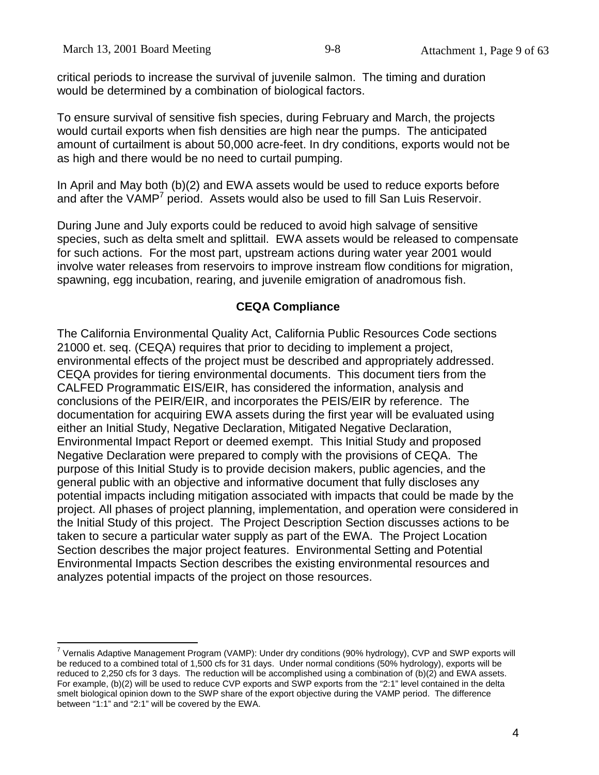critical periods to increase the survival of juvenile salmon. The timing and duration would be determined by a combination of biological factors.

To ensure survival of sensitive fish species, during February and March, the projects would curtail exports when fish densities are high near the pumps. The anticipated amount of curtailment is about 50,000 acre-feet. In dry conditions, exports would not be as high and there would be no need to curtail pumping.

In April and May both (b)(2) and EWA assets would be used to reduce exports before and after the VAMP<sup>7</sup> period. Assets would also be used to fill San Luis Reservoir.

During June and July exports could be reduced to avoid high salvage of sensitive species, such as delta smelt and splittail. EWA assets would be released to compensate for such actions. For the most part, upstream actions during water year 2001 would involve water releases from reservoirs to improve instream flow conditions for migration, spawning, egg incubation, rearing, and juvenile emigration of anadromous fish.

#### **CEQA Compliance**

The California Environmental Quality Act, California Public Resources Code sections 21000 et. seq. (CEQA) requires that prior to deciding to implement a project, environmental effects of the project must be described and appropriately addressed. CEQA provides for tiering environmental documents. This document tiers from the CALFED Programmatic EIS/EIR, has considered the information, analysis and conclusions of the PEIR/EIR, and incorporates the PEIS/EIR by reference. The documentation for acquiring EWA assets during the first year will be evaluated using either an Initial Study, Negative Declaration, Mitigated Negative Declaration, Environmental Impact Report or deemed exempt. This Initial Study and proposed Negative Declaration were prepared to comply with the provisions of CEQA. The purpose of this Initial Study is to provide decision makers, public agencies, and the general public with an objective and informative document that fully discloses any potential impacts including mitigation associated with impacts that could be made by the project. All phases of project planning, implementation, and operation were considered in the Initial Study of this project. The Project Description Section discusses actions to be taken to secure a particular water supply as part of the EWA. The Project Location Section describes the major project features. Environmental Setting and Potential Environmental Impacts Section describes the existing environmental resources and analyzes potential impacts of the project on those resources.

<sup>1</sup> <sup>7</sup> Vernalis Adaptive Management Program (VAMP): Under dry conditions (90% hydrology), CVP and SWP exports will be reduced to a combined total of 1,500 cfs for 31 days. Under normal conditions (50% hydrology), exports will be reduced to 2,250 cfs for 3 days. The reduction will be accomplished using a combination of (b)(2) and EWA assets. For example, (b)(2) will be used to reduce CVP exports and SWP exports from the "2:1" level contained in the delta smelt biological opinion down to the SWP share of the export objective during the VAMP period. The difference between "1:1" and "2:1" will be covered by the EWA.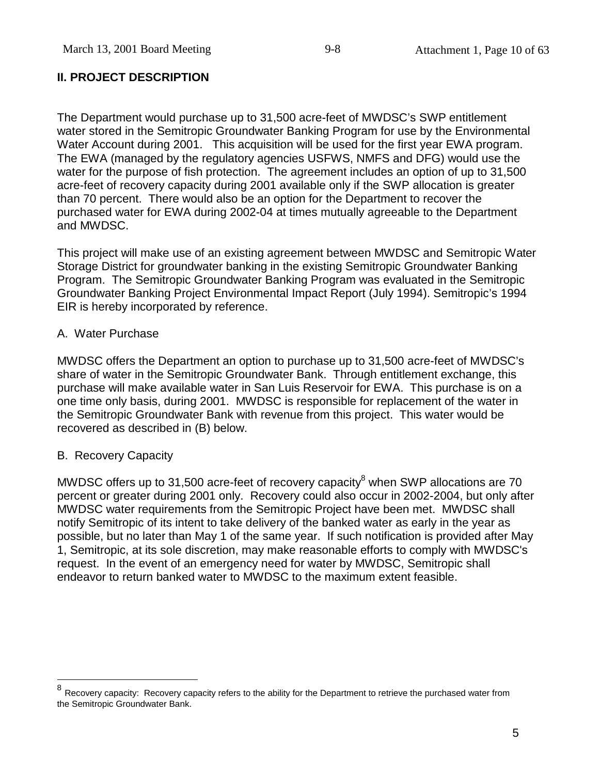## **II. PROJECT DESCRIPTION**

The Department would purchase up to 31,500 acre-feet of MWDSC's SWP entitlement water stored in the Semitropic Groundwater Banking Program for use by the Environmental Water Account during 2001. This acquisition will be used for the first year EWA program. The EWA (managed by the regulatory agencies USFWS, NMFS and DFG) would use the water for the purpose of fish protection. The agreement includes an option of up to 31,500 acre-feet of recovery capacity during 2001 available only if the SWP allocation is greater than 70 percent. There would also be an option for the Department to recover the purchased water for EWA during 2002-04 at times mutually agreeable to the Department and MWDSC.

This project will make use of an existing agreement between MWDSC and Semitropic Water Storage District for groundwater banking in the existing Semitropic Groundwater Banking Program. The Semitropic Groundwater Banking Program was evaluated in the Semitropic Groundwater Banking Project Environmental Impact Report (July 1994). Semitropic's 1994 EIR is hereby incorporated by reference.

#### A. Water Purchase

MWDSC offers the Department an option to purchase up to 31,500 acre-feet of MWDSC's share of water in the Semitropic Groundwater Bank. Through entitlement exchange, this purchase will make available water in San Luis Reservoir for EWA. This purchase is on a one time only basis, during 2001. MWDSC is responsible for replacement of the water in the Semitropic Groundwater Bank with revenue from this project. This water would be recovered as described in (B) below.

#### B. Recovery Capacity

1

MWDSC offers up to 31,500 acre-feet of recovery capacity $^8$  when SWP allocations are 70 percent or greater during 2001 only. Recovery could also occur in 2002-2004, but only after MWDSC water requirements from the Semitropic Project have been met. MWDSC shall notify Semitropic of its intent to take delivery of the banked water as early in the year as possible, but no later than May 1 of the same year. If such notification is provided after May 1, Semitropic, at its sole discretion, may make reasonable efforts to comply with MWDSC's request. In the event of an emergency need for water by MWDSC, Semitropic shall endeavor to return banked water to MWDSC to the maximum extent feasible.

Recovery capacity: Recovery capacity refers to the ability for the Department to retrieve the purchased water from the Semitropic Groundwater Bank.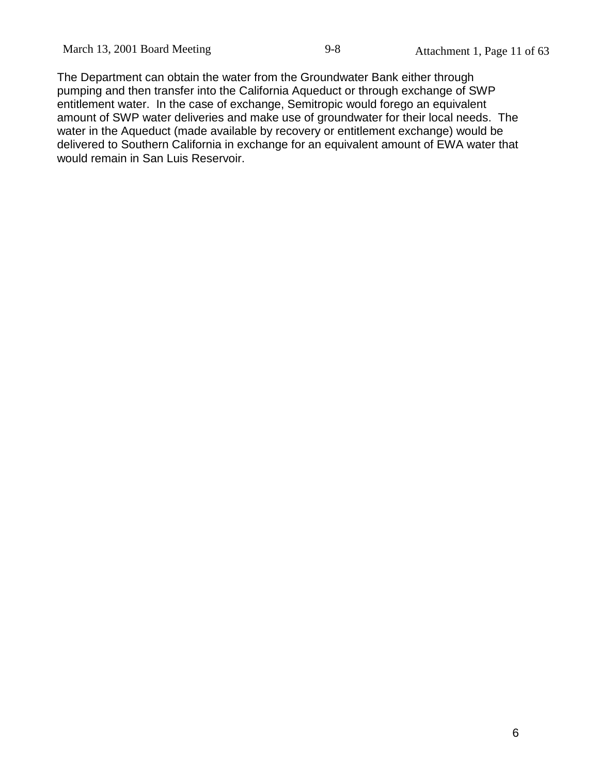The Department can obtain the water from the Groundwater Bank either through pumping and then transfer into the California Aqueduct or through exchange of SWP entitlement water. In the case of exchange, Semitropic would forego an equivalent amount of SWP water deliveries and make use of groundwater for their local needs. The water in the Aqueduct (made available by recovery or entitlement exchange) would be delivered to Southern California in exchange for an equivalent amount of EWA water that would remain in San Luis Reservoir.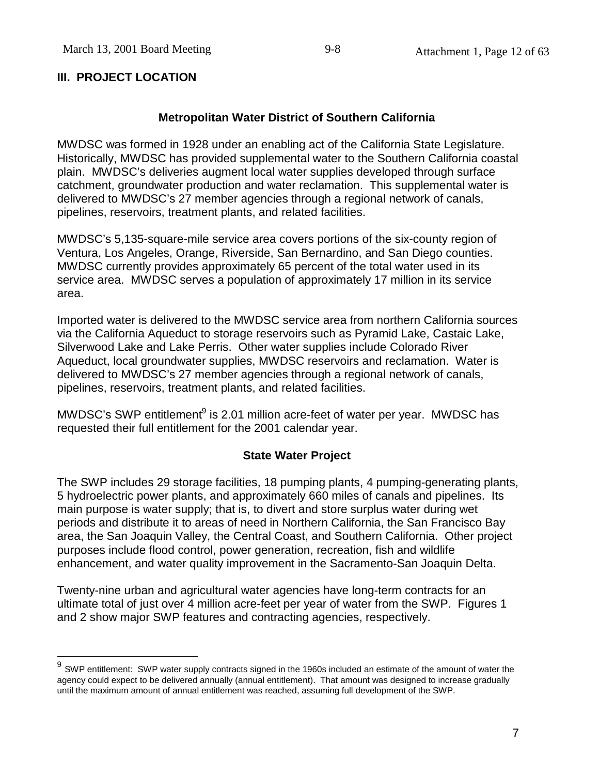## **III. PROJECT LOCATION**

1

## **Metropolitan Water District of Southern California**

MWDSC was formed in 1928 under an enabling act of the California State Legislature. Historically, MWDSC has provided supplemental water to the Southern California coastal plain. MWDSC's deliveries augment local water supplies developed through surface catchment, groundwater production and water reclamation. This supplemental water is delivered to MWDSC's 27 member agencies through a regional network of canals, pipelines, reservoirs, treatment plants, and related facilities.

MWDSC's 5,135-square-mile service area covers portions of the six-county region of Ventura, Los Angeles, Orange, Riverside, San Bernardino, and San Diego counties. MWDSC currently provides approximately 65 percent of the total water used in its service area. MWDSC serves a population of approximately 17 million in its service area.

Imported water is delivered to the MWDSC service area from northern California sources via the California Aqueduct to storage reservoirs such as Pyramid Lake, Castaic Lake, Silverwood Lake and Lake Perris. Other water supplies include Colorado River Aqueduct, local groundwater supplies, MWDSC reservoirs and reclamation. Water is delivered to MWDSC's 27 member agencies through a regional network of canals, pipelines, reservoirs, treatment plants, and related facilities.

MWDSC's SWP entitlement<sup>9</sup> is 2.01 million acre-feet of water per year. MWDSC has requested their full entitlement for the 2001 calendar year.

## **State Water Project**

The SWP includes 29 storage facilities, 18 pumping plants, 4 pumping-generating plants, 5 hydroelectric power plants, and approximately 660 miles of canals and pipelines. Its main purpose is water supply; that is, to divert and store surplus water during wet periods and distribute it to areas of need in Northern California, the San Francisco Bay area, the San Joaquin Valley, the Central Coast, and Southern California. Other project purposes include flood control, power generation, recreation, fish and wildlife enhancement, and water quality improvement in the Sacramento-San Joaquin Delta.

Twenty-nine urban and agricultural water agencies have long-term contracts for an ultimate total of just over 4 million acre-feet per year of water from the SWP. Figures 1 and 2 show major SWP features and contracting agencies, respectively.

 $9\,$  SWP entitlement: SWP water supply contracts signed in the 1960s included an estimate of the amount of water the agency could expect to be delivered annually (annual entitlement). That amount was designed to increase gradually until the maximum amount of annual entitlement was reached, assuming full development of the SWP.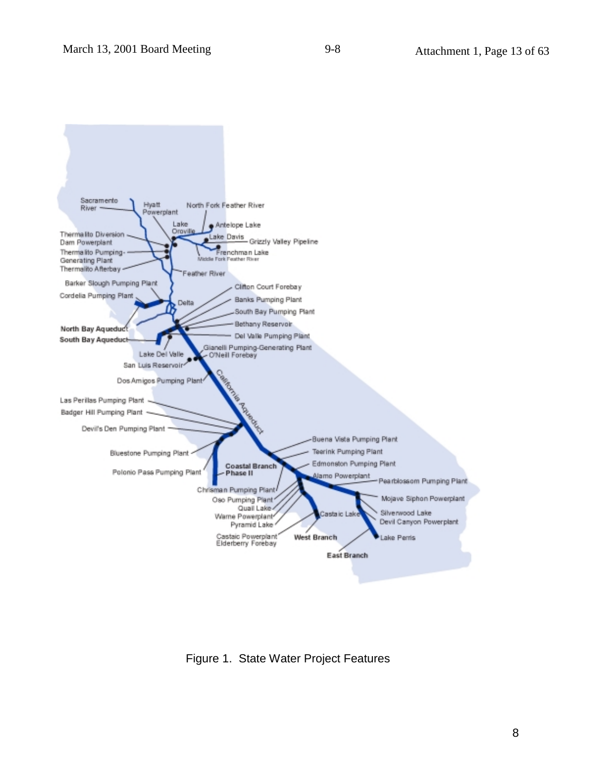Hyatt

Powerplant

Sacramento

River





Figure 1. State Water Project Features

8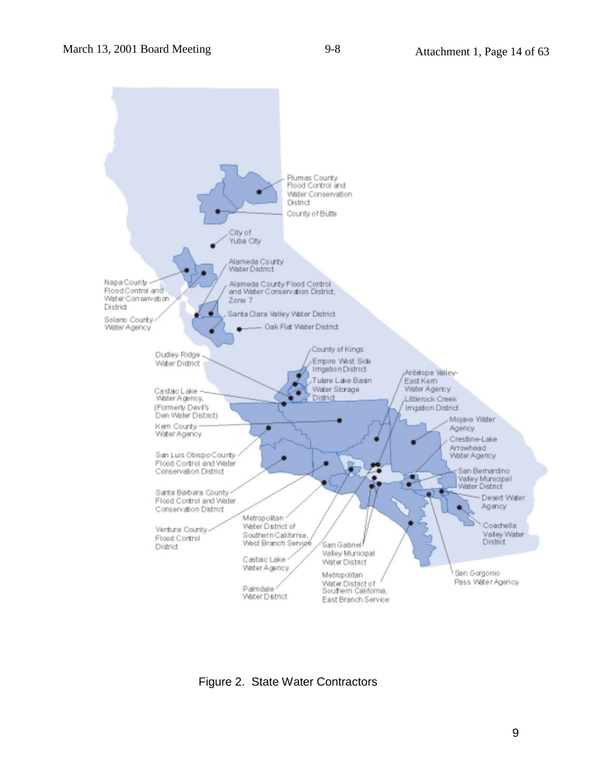

Figure 2. State Water Contractors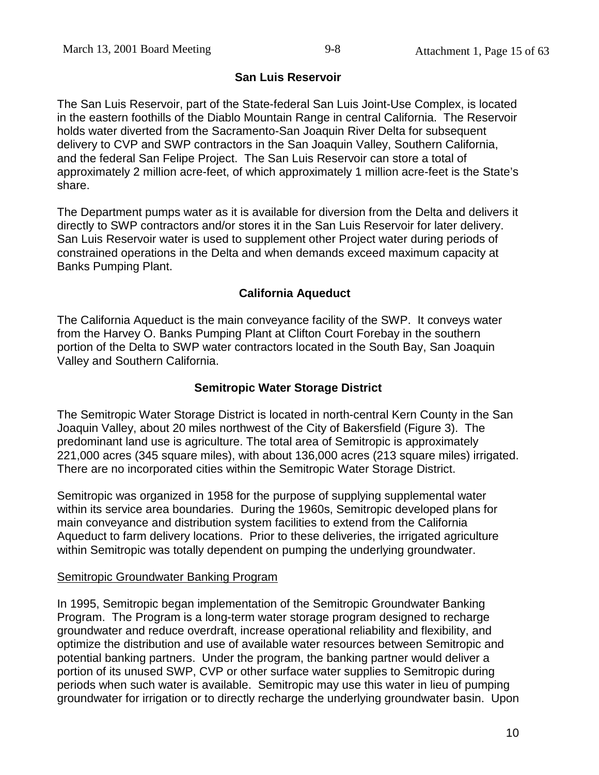#### **San Luis Reservoir**

The San Luis Reservoir, part of the State-federal San Luis Joint-Use Complex, is located in the eastern foothills of the Diablo Mountain Range in central California. The Reservoir holds water diverted from the Sacramento-San Joaquin River Delta for subsequent delivery to CVP and SWP contractors in the San Joaquin Valley, Southern California, and the federal San Felipe Project. The San Luis Reservoir can store a total of approximately 2 million acre-feet, of which approximately 1 million acre-feet is the State's share.

The Department pumps water as it is available for diversion from the Delta and delivers it directly to SWP contractors and/or stores it in the San Luis Reservoir for later delivery. San Luis Reservoir water is used to supplement other Project water during periods of constrained operations in the Delta and when demands exceed maximum capacity at Banks Pumping Plant.

## **California Aqueduct**

The California Aqueduct is the main conveyance facility of the SWP. It conveys water from the Harvey O. Banks Pumping Plant at Clifton Court Forebay in the southern portion of the Delta to SWP water contractors located in the South Bay, San Joaquin Valley and Southern California.

## **Semitropic Water Storage District**

The Semitropic Water Storage District is located in north-central Kern County in the San Joaquin Valley, about 20 miles northwest of the City of Bakersfield (Figure 3). The predominant land use is agriculture. The total area of Semitropic is approximately 221,000 acres (345 square miles), with about 136,000 acres (213 square miles) irrigated. There are no incorporated cities within the Semitropic Water Storage District.

Semitropic was organized in 1958 for the purpose of supplying supplemental water within its service area boundaries. During the 1960s, Semitropic developed plans for main conveyance and distribution system facilities to extend from the California Aqueduct to farm delivery locations. Prior to these deliveries, the irrigated agriculture within Semitropic was totally dependent on pumping the underlying groundwater.

#### Semitropic Groundwater Banking Program

In 1995, Semitropic began implementation of the Semitropic Groundwater Banking Program. The Program is a long-term water storage program designed to recharge groundwater and reduce overdraft, increase operational reliability and flexibility, and optimize the distribution and use of available water resources between Semitropic and potential banking partners. Under the program, the banking partner would deliver a portion of its unused SWP, CVP or other surface water supplies to Semitropic during periods when such water is available. Semitropic may use this water in lieu of pumping groundwater for irrigation or to directly recharge the underlying groundwater basin. Upon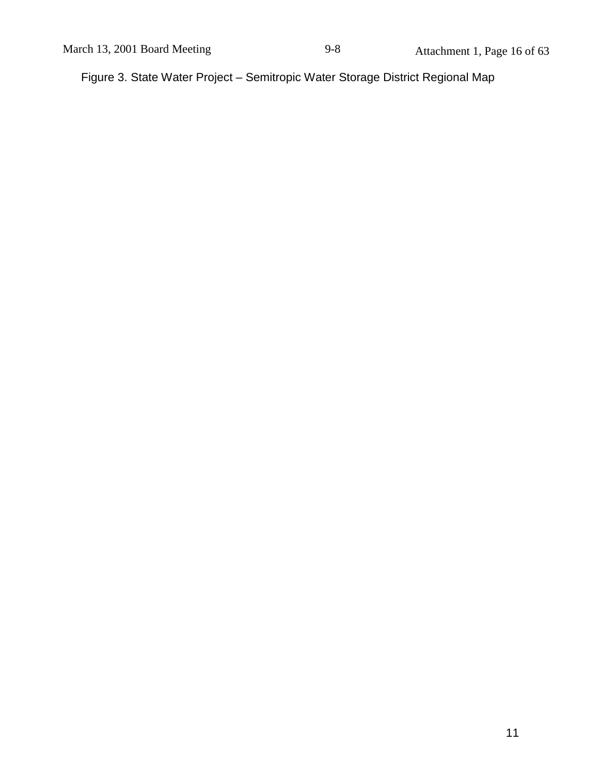Figure 3. State Water Project – Semitropic Water Storage District Regional Map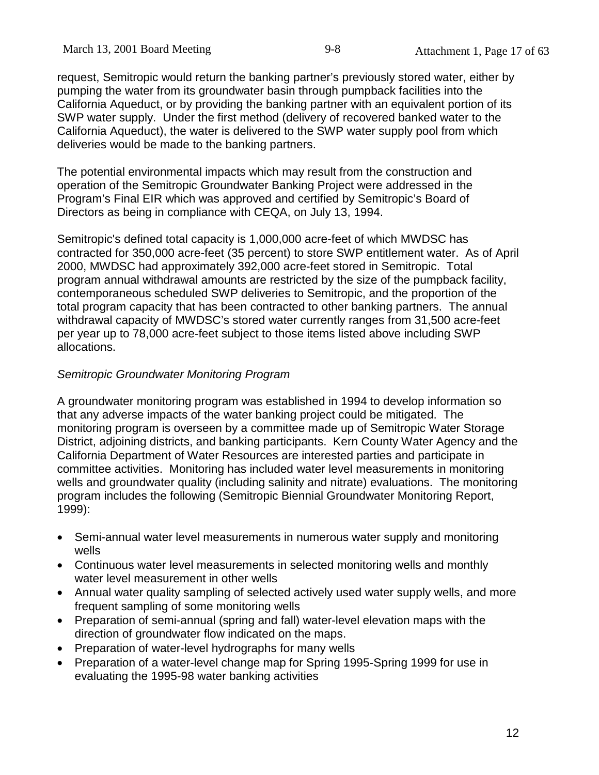request, Semitropic would return the banking partner's previously stored water, either by pumping the water from its groundwater basin through pumpback facilities into the California Aqueduct, or by providing the banking partner with an equivalent portion of its SWP water supply. Under the first method (delivery of recovered banked water to the California Aqueduct), the water is delivered to the SWP water supply pool from which deliveries would be made to the banking partners.

The potential environmental impacts which may result from the construction and operation of the Semitropic Groundwater Banking Project were addressed in the Program's Final EIR which was approved and certified by Semitropic's Board of Directors as being in compliance with CEQA, on July 13, 1994.

Semitropic's defined total capacity is 1,000,000 acre-feet of which MWDSC has contracted for 350,000 acre-feet (35 percent) to store SWP entitlement water. As of April 2000, MWDSC had approximately 392,000 acre-feet stored in Semitropic. Total program annual withdrawal amounts are restricted by the size of the pumpback facility, contemporaneous scheduled SWP deliveries to Semitropic, and the proportion of the total program capacity that has been contracted to other banking partners. The annual withdrawal capacity of MWDSC's stored water currently ranges from 31,500 acre-feet per year up to 78,000 acre-feet subject to those items listed above including SWP allocations.

#### *Semitropic Groundwater Monitoring Program*

A groundwater monitoring program was established in 1994 to develop information so that any adverse impacts of the water banking project could be mitigated. The monitoring program is overseen by a committee made up of Semitropic Water Storage District, adjoining districts, and banking participants. Kern County Water Agency and the California Department of Water Resources are interested parties and participate in committee activities. Monitoring has included water level measurements in monitoring wells and groundwater quality (including salinity and nitrate) evaluations. The monitoring program includes the following (Semitropic Biennial Groundwater Monitoring Report, 1999):

- Semi-annual water level measurements in numerous water supply and monitoring wells
- Continuous water level measurements in selected monitoring wells and monthly water level measurement in other wells
- Annual water quality sampling of selected actively used water supply wells, and more frequent sampling of some monitoring wells
- Preparation of semi-annual (spring and fall) water-level elevation maps with the direction of groundwater flow indicated on the maps.
- Preparation of water-level hydrographs for many wells
- Preparation of a water-level change map for Spring 1995-Spring 1999 for use in evaluating the 1995-98 water banking activities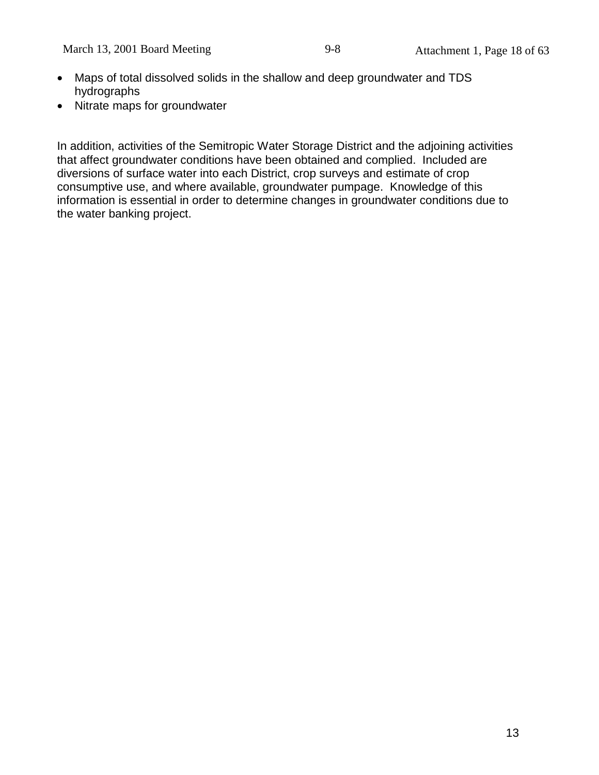- Maps of total dissolved solids in the shallow and deep groundwater and TDS hydrographs
- Nitrate maps for groundwater

In addition, activities of the Semitropic Water Storage District and the adjoining activities that affect groundwater conditions have been obtained and complied. Included are diversions of surface water into each District, crop surveys and estimate of crop consumptive use, and where available, groundwater pumpage. Knowledge of this information is essential in order to determine changes in groundwater conditions due to the water banking project.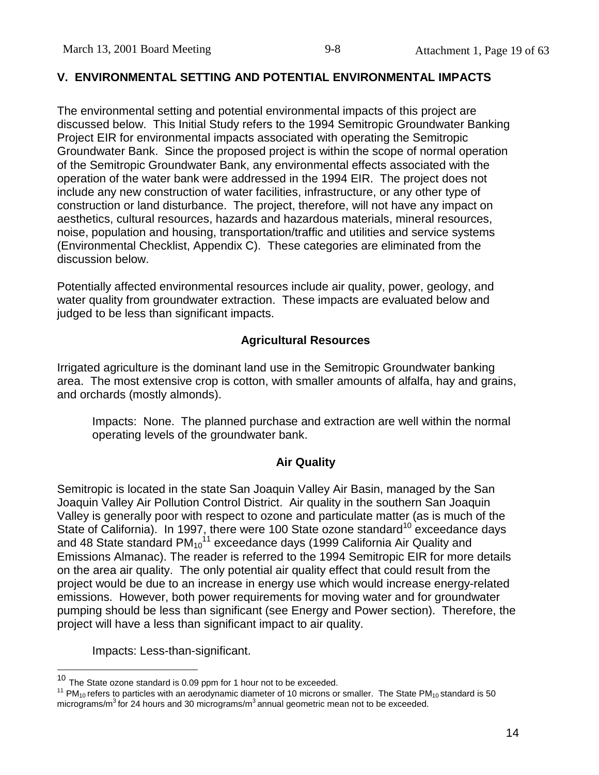## **V. ENVIRONMENTAL SETTING AND POTENTIAL ENVIRONMENTAL IMPACTS**

The environmental setting and potential environmental impacts of this project are discussed below. This Initial Study refers to the 1994 Semitropic Groundwater Banking Project EIR for environmental impacts associated with operating the Semitropic Groundwater Bank. Since the proposed project is within the scope of normal operation of the Semitropic Groundwater Bank, any environmental effects associated with the operation of the water bank were addressed in the 1994 EIR. The project does not include any new construction of water facilities, infrastructure, or any other type of construction or land disturbance. The project, therefore, will not have any impact on aesthetics, cultural resources, hazards and hazardous materials, mineral resources, noise, population and housing, transportation/traffic and utilities and service systems (Environmental Checklist, Appendix C). These categories are eliminated from the discussion below.

Potentially affected environmental resources include air quality, power, geology, and water quality from groundwater extraction. These impacts are evaluated below and judged to be less than significant impacts.

#### **Agricultural Resources**

Irrigated agriculture is the dominant land use in the Semitropic Groundwater banking area. The most extensive crop is cotton, with smaller amounts of alfalfa, hay and grains, and orchards (mostly almonds).

Impacts: None. The planned purchase and extraction are well within the normal operating levels of the groundwater bank.

## **Air Quality**

Semitropic is located in the state San Joaquin Valley Air Basin, managed by the San Joaquin Valley Air Pollution Control District. Air quality in the southern San Joaquin Valley is generally poor with respect to ozone and particulate matter (as is much of the State of California). In 1997, there were 100 State ozone standard<sup>10</sup> exceedance days and 48 State standard PM<sub>10</sub><sup>11</sup> exceedance days (1999 California Air Quality and Emissions Almanac). The reader is referred to the 1994 Semitropic EIR for more details on the area air quality. The only potential air quality effect that could result from the project would be due to an increase in energy use which would increase energy-related emissions. However, both power requirements for moving water and for groundwater pumping should be less than significant (see Energy and Power section). Therefore, the project will have a less than significant impact to air quality.

Impacts: Less-than-significant.

1

 $10$  The State ozone standard is 0.09 ppm for 1 hour not to be exceeded.

<sup>&</sup>lt;sup>11</sup> PM<sub>10</sub> refers to particles with an aerodynamic diameter of 10 microns or smaller. The State PM<sub>10</sub> standard is 50 micrograms/m<sup>3</sup> for 24 hours and 30 micrograms/m<sup>3</sup> annual geometric mean not to be exceeded.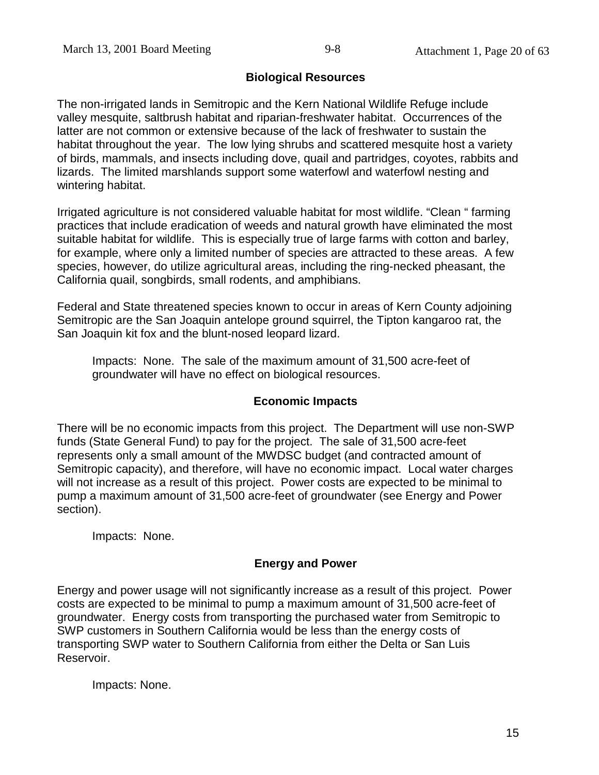#### **Biological Resources**

The non-irrigated lands in Semitropic and the Kern National Wildlife Refuge include valley mesquite, saltbrush habitat and riparian-freshwater habitat. Occurrences of the latter are not common or extensive because of the lack of freshwater to sustain the habitat throughout the year. The low lying shrubs and scattered mesquite host a variety of birds, mammals, and insects including dove, quail and partridges, coyotes, rabbits and lizards. The limited marshlands support some waterfowl and waterfowl nesting and wintering habitat.

Irrigated agriculture is not considered valuable habitat for most wildlife. "Clean " farming practices that include eradication of weeds and natural growth have eliminated the most suitable habitat for wildlife. This is especially true of large farms with cotton and barley, for example, where only a limited number of species are attracted to these areas. A few species, however, do utilize agricultural areas, including the ring-necked pheasant, the California quail, songbirds, small rodents, and amphibians.

Federal and State threatened species known to occur in areas of Kern County adjoining Semitropic are the San Joaquin antelope ground squirrel, the Tipton kangaroo rat, the San Joaquin kit fox and the blunt-nosed leopard lizard.

Impacts: None. The sale of the maximum amount of 31,500 acre-feet of groundwater will have no effect on biological resources.

## **Economic Impacts**

There will be no economic impacts from this project. The Department will use non-SWP funds (State General Fund) to pay for the project. The sale of 31,500 acre-feet represents only a small amount of the MWDSC budget (and contracted amount of Semitropic capacity), and therefore, will have no economic impact. Local water charges will not increase as a result of this project. Power costs are expected to be minimal to pump a maximum amount of 31,500 acre-feet of groundwater (see Energy and Power section).

Impacts: None.

## **Energy and Power**

Energy and power usage will not significantly increase as a result of this project. Power costs are expected to be minimal to pump a maximum amount of 31,500 acre-feet of groundwater. Energy costs from transporting the purchased water from Semitropic to SWP customers in Southern California would be less than the energy costs of transporting SWP water to Southern California from either the Delta or San Luis Reservoir.

Impacts: None.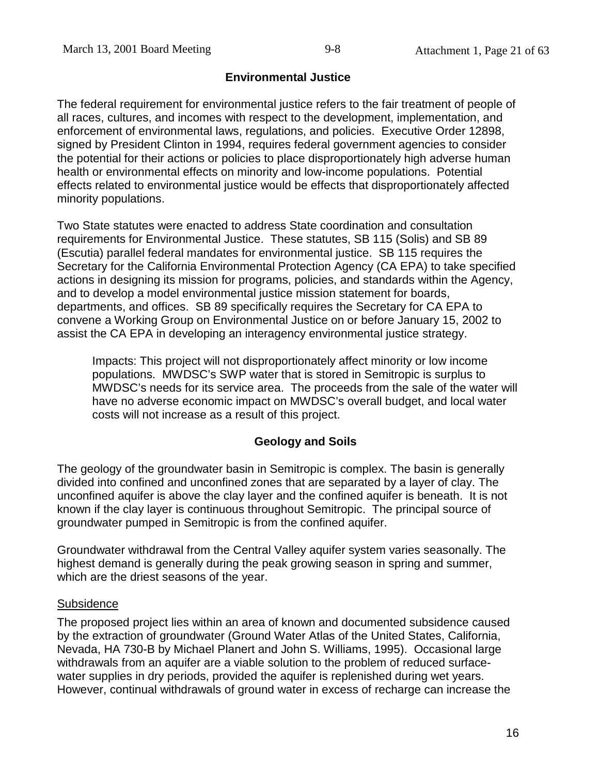#### **Environmental Justice**

The federal requirement for environmental justice refers to the fair treatment of people of all races, cultures, and incomes with respect to the development, implementation, and enforcement of environmental laws, regulations, and policies. Executive Order 12898, signed by President Clinton in 1994, requires federal government agencies to consider the potential for their actions or policies to place disproportionately high adverse human health or environmental effects on minority and low-income populations. Potential effects related to environmental justice would be effects that disproportionately affected minority populations.

Two State statutes were enacted to address State coordination and consultation requirements for Environmental Justice. These statutes, SB 115 (Solis) and SB 89 (Escutia) parallel federal mandates for environmental justice. SB 115 requires the Secretary for the California Environmental Protection Agency (CA EPA) to take specified actions in designing its mission for programs, policies, and standards within the Agency, and to develop a model environmental justice mission statement for boards, departments, and offices. SB 89 specifically requires the Secretary for CA EPA to convene a Working Group on Environmental Justice on or before January 15, 2002 to assist the CA EPA in developing an interagency environmental justice strategy.

Impacts: This project will not disproportionately affect minority or low income populations. MWDSC's SWP water that is stored in Semitropic is surplus to MWDSC's needs for its service area. The proceeds from the sale of the water will have no adverse economic impact on MWDSC's overall budget, and local water costs will not increase as a result of this project.

## **Geology and Soils**

The geology of the groundwater basin in Semitropic is complex. The basin is generally divided into confined and unconfined zones that are separated by a layer of clay. The unconfined aquifer is above the clay layer and the confined aquifer is beneath. It is not known if the clay layer is continuous throughout Semitropic. The principal source of groundwater pumped in Semitropic is from the confined aquifer.

Groundwater withdrawal from the Central Valley aquifer system varies seasonally. The highest demand is generally during the peak growing season in spring and summer, which are the driest seasons of the year.

#### **Subsidence**

The proposed project lies within an area of known and documented subsidence caused by the extraction of groundwater (Ground Water Atlas of the United States, California, Nevada, HA 730-B by Michael Planert and John S. Williams, 1995). Occasional large withdrawals from an aquifer are a viable solution to the problem of reduced surfacewater supplies in dry periods, provided the aquifer is replenished during wet years. However, continual withdrawals of ground water in excess of recharge can increase the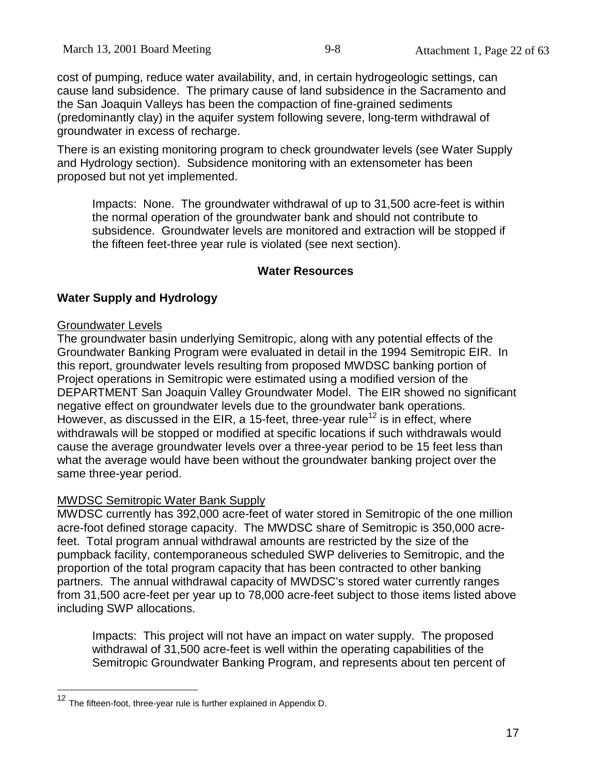cost of pumping, reduce water availability, and, in certain hydrogeologic settings, can cause land subsidence. The primary cause of land subsidence in the Sacramento and the San Joaquin Valleys has been the compaction of fine-grained sediments (predominantly clay) in the aquifer system following severe, long-term withdrawal of groundwater in excess of recharge.

There is an existing monitoring program to check groundwater levels (see Water Supply and Hydrology section). Subsidence monitoring with an extensometer has been proposed but not yet implemented.

Impacts: None. The groundwater withdrawal of up to 31,500 acre-feet is within the normal operation of the groundwater bank and should not contribute to subsidence. Groundwater levels are monitored and extraction will be stopped if the fifteen feet-three year rule is violated (see next section).

#### **Water Resources**

## **Water Supply and Hydrology**

#### Groundwater Levels

<u>.</u>

The groundwater basin underlying Semitropic, along with any potential effects of the Groundwater Banking Program were evaluated in detail in the 1994 Semitropic EIR. In this report, groundwater levels resulting from proposed MWDSC banking portion of Project operations in Semitropic were estimated using a modified version of the DEPARTMENT San Joaquin Valley Groundwater Model. The EIR showed no significant negative effect on groundwater levels due to the groundwater bank operations. However, as discussed in the EIR, a 15-feet, three-year rule<sup>12</sup> is in effect, where withdrawals will be stopped or modified at specific locations if such withdrawals would cause the average groundwater levels over a three-year period to be 15 feet less than what the average would have been without the groundwater banking project over the same three-year period.

#### MWDSC Semitropic Water Bank Supply

MWDSC currently has 392,000 acre-feet of water stored in Semitropic of the one million acre-foot defined storage capacity. The MWDSC share of Semitropic is 350,000 acrefeet. Total program annual withdrawal amounts are restricted by the size of the pumpback facility, contemporaneous scheduled SWP deliveries to Semitropic, and the proportion of the total program capacity that has been contracted to other banking partners. The annual withdrawal capacity of MWDSC's stored water currently ranges from 31,500 acre-feet per year up to 78,000 acre-feet subject to those items listed above including SWP allocations.

Impacts: This project will not have an impact on water supply. The proposed withdrawal of 31,500 acre-feet is well within the operating capabilities of the Semitropic Groundwater Banking Program, and represents about ten percent of

<sup>&</sup>lt;sup>12</sup> The fifteen-foot, three-vear rule is further explained in Appendix D.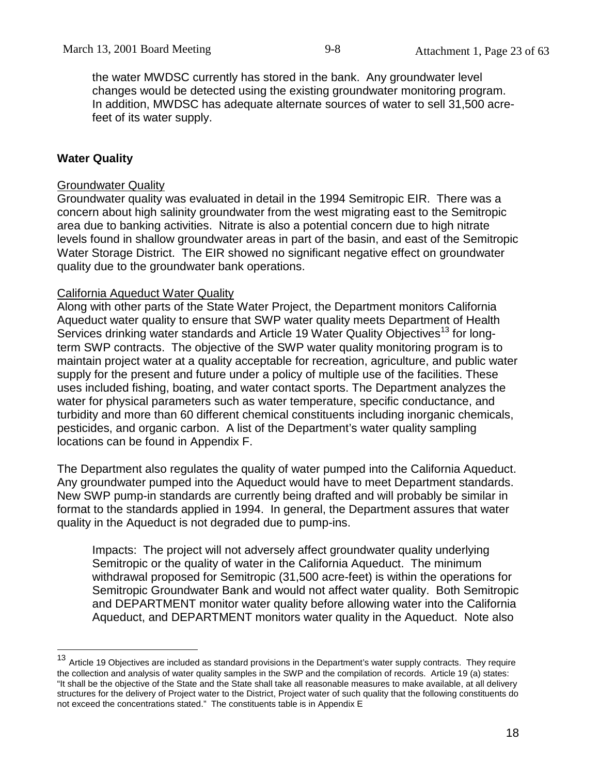the water MWDSC currently has stored in the bank. Any groundwater level changes would be detected using the existing groundwater monitoring program. In addition, MWDSC has adequate alternate sources of water to sell 31,500 acrefeet of its water supply.

#### **Water Quality**

1

#### Groundwater Quality

Groundwater quality was evaluated in detail in the 1994 Semitropic EIR. There was a concern about high salinity groundwater from the west migrating east to the Semitropic area due to banking activities. Nitrate is also a potential concern due to high nitrate levels found in shallow groundwater areas in part of the basin, and east of the Semitropic Water Storage District. The EIR showed no significant negative effect on groundwater quality due to the groundwater bank operations.

#### California Aqueduct Water Quality

Along with other parts of the State Water Project, the Department monitors California Aqueduct water quality to ensure that SWP water quality meets Department of Health Services drinking water standards and Article 19 Water Quality Objectives<sup>13</sup> for longterm SWP contracts. The objective of the SWP water quality monitoring program is to maintain project water at a quality acceptable for recreation, agriculture, and public water supply for the present and future under a policy of multiple use of the facilities. These uses included fishing, boating, and water contact sports. The Department analyzes the water for physical parameters such as water temperature, specific conductance, and turbidity and more than 60 different chemical constituents including inorganic chemicals, pesticides, and organic carbon. A list of the Department's water quality sampling locations can be found in Appendix F.

The Department also regulates the quality of water pumped into the California Aqueduct. Any groundwater pumped into the Aqueduct would have to meet Department standards. New SWP pump-in standards are currently being drafted and will probably be similar in format to the standards applied in 1994. In general, the Department assures that water quality in the Aqueduct is not degraded due to pump-ins.

Impacts: The project will not adversely affect groundwater quality underlying Semitropic or the quality of water in the California Aqueduct. The minimum withdrawal proposed for Semitropic (31,500 acre-feet) is within the operations for Semitropic Groundwater Bank and would not affect water quality. Both Semitropic and DEPARTMENT monitor water quality before allowing water into the California Aqueduct, and DEPARTMENT monitors water quality in the Aqueduct. Note also

<sup>&</sup>lt;sup>13</sup> Article 19 Objectives are included as standard provisions in the Department's water supply contracts. They require the collection and analysis of water quality samples in the SWP and the compilation of records. Article 19 (a) states: "It shall be the objective of the State and the State shall take all reasonable measures to make available, at all delivery structures for the delivery of Project water to the District, Project water of such quality that the following constituents do not exceed the concentrations stated." The constituents table is in Appendix E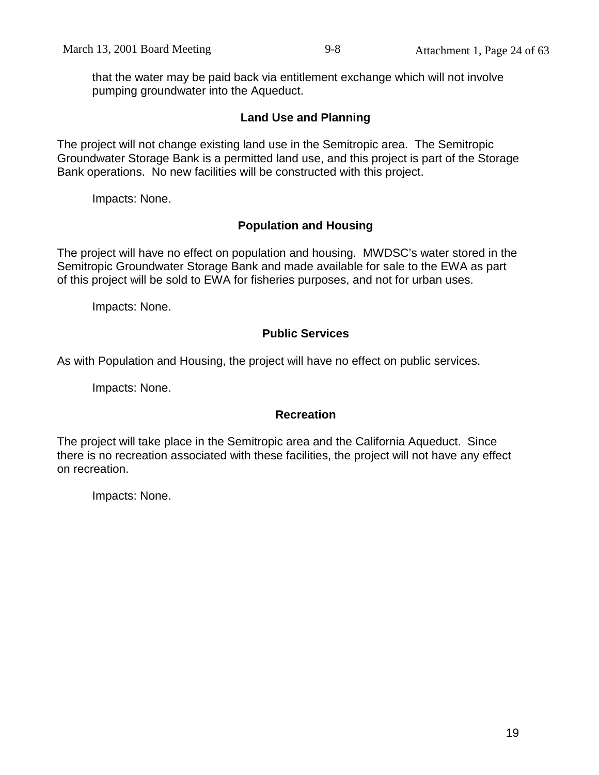that the water may be paid back via entitlement exchange which will not involve pumping groundwater into the Aqueduct.

#### **Land Use and Planning**

The project will not change existing land use in the Semitropic area. The Semitropic Groundwater Storage Bank is a permitted land use, and this project is part of the Storage Bank operations. No new facilities will be constructed with this project.

Impacts: None.

## **Population and Housing**

The project will have no effect on population and housing. MWDSC's water stored in the Semitropic Groundwater Storage Bank and made available for sale to the EWA as part of this project will be sold to EWA for fisheries purposes, and not for urban uses.

Impacts: None.

#### **Public Services**

As with Population and Housing, the project will have no effect on public services.

Impacts: None.

#### **Recreation**

The project will take place in the Semitropic area and the California Aqueduct. Since there is no recreation associated with these facilities, the project will not have any effect on recreation.

Impacts: None.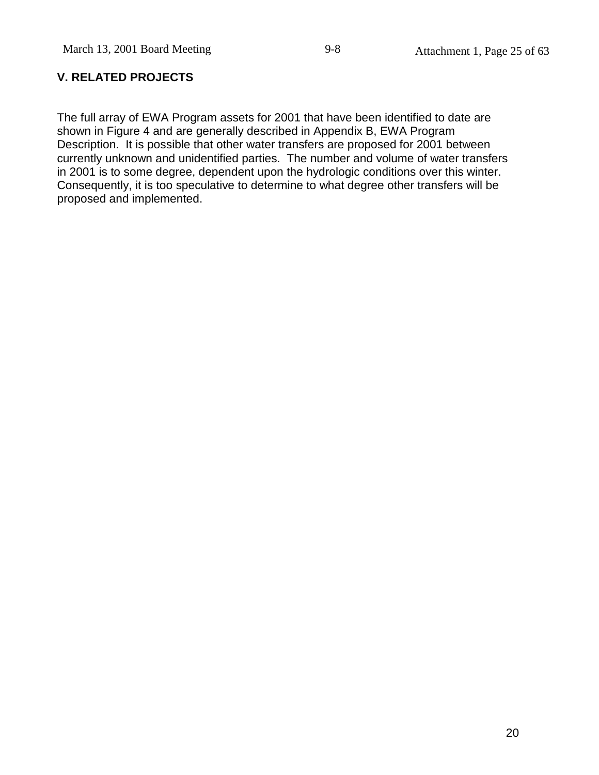## **V. RELATED PROJECTS**

The full array of EWA Program assets for 2001 that have been identified to date are shown in Figure 4 and are generally described in Appendix B, EWA Program Description. It is possible that other water transfers are proposed for 2001 between currently unknown and unidentified parties. The number and volume of water transfers in 2001 is to some degree, dependent upon the hydrologic conditions over this winter. Consequently, it is too speculative to determine to what degree other transfers will be proposed and implemented.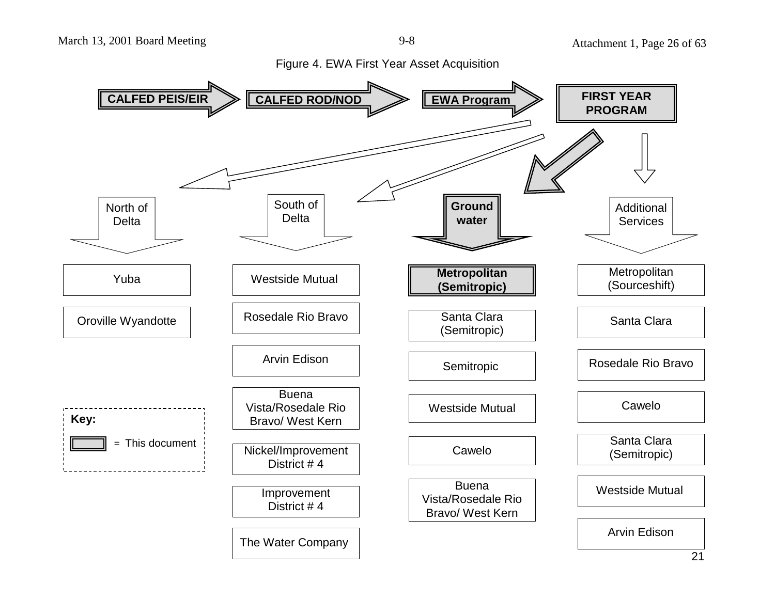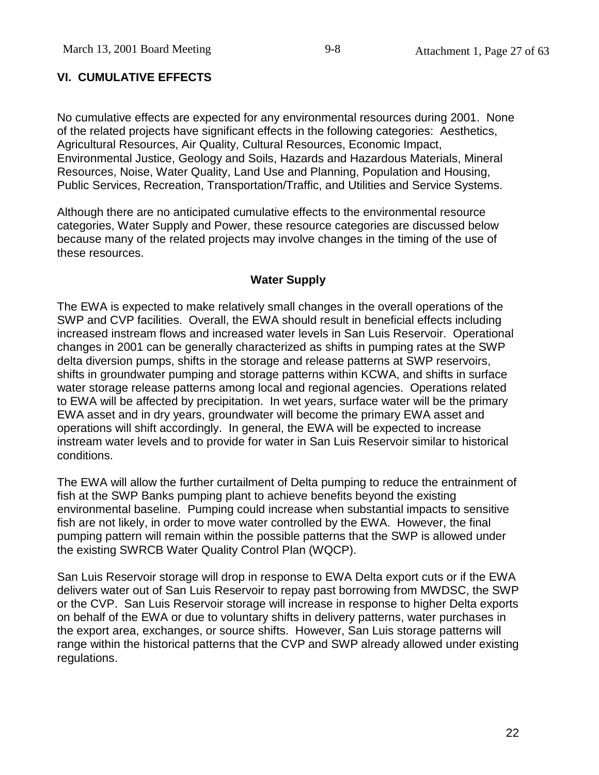## **VI. CUMULATIVE EFFECTS**

No cumulative effects are expected for any environmental resources during 2001. None of the related projects have significant effects in the following categories: Aesthetics, Agricultural Resources, Air Quality, Cultural Resources, Economic Impact, Environmental Justice, Geology and Soils, Hazards and Hazardous Materials, Mineral Resources, Noise, Water Quality, Land Use and Planning, Population and Housing, Public Services, Recreation, Transportation/Traffic, and Utilities and Service Systems.

Although there are no anticipated cumulative effects to the environmental resource categories, Water Supply and Power, these resource categories are discussed below because many of the related projects may involve changes in the timing of the use of these resources.

#### **Water Supply**

The EWA is expected to make relatively small changes in the overall operations of the SWP and CVP facilities. Overall, the EWA should result in beneficial effects including increased instream flows and increased water levels in San Luis Reservoir. Operational changes in 2001 can be generally characterized as shifts in pumping rates at the SWP delta diversion pumps, shifts in the storage and release patterns at SWP reservoirs, shifts in groundwater pumping and storage patterns within KCWA, and shifts in surface water storage release patterns among local and regional agencies. Operations related to EWA will be affected by precipitation. In wet years, surface water will be the primary EWA asset and in dry years, groundwater will become the primary EWA asset and operations will shift accordingly. In general, the EWA will be expected to increase instream water levels and to provide for water in San Luis Reservoir similar to historical conditions.

The EWA will allow the further curtailment of Delta pumping to reduce the entrainment of fish at the SWP Banks pumping plant to achieve benefits beyond the existing environmental baseline. Pumping could increase when substantial impacts to sensitive fish are not likely, in order to move water controlled by the EWA. However, the final pumping pattern will remain within the possible patterns that the SWP is allowed under the existing SWRCB Water Quality Control Plan (WQCP).

San Luis Reservoir storage will drop in response to EWA Delta export cuts or if the EWA delivers water out of San Luis Reservoir to repay past borrowing from MWDSC, the SWP or the CVP. San Luis Reservoir storage will increase in response to higher Delta exports on behalf of the EWA or due to voluntary shifts in delivery patterns, water purchases in the export area, exchanges, or source shifts. However, San Luis storage patterns will range within the historical patterns that the CVP and SWP already allowed under existing regulations.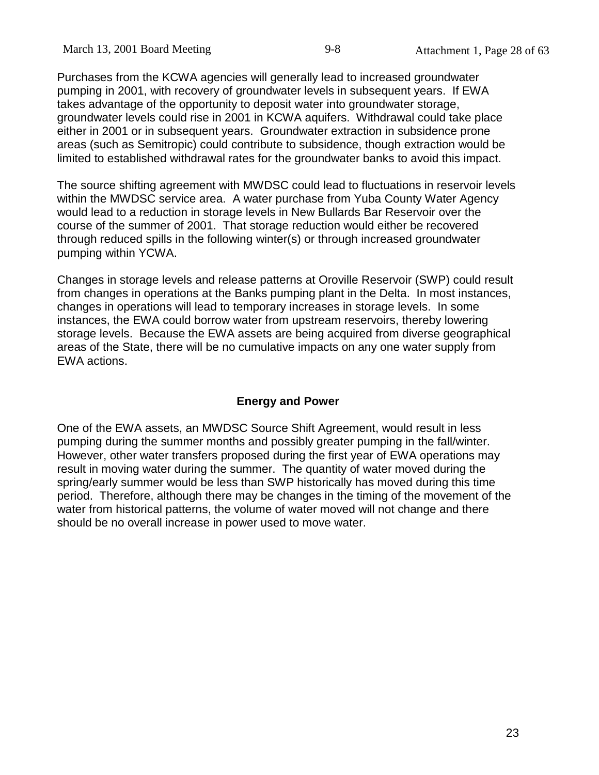Purchases from the KCWA agencies will generally lead to increased groundwater pumping in 2001, with recovery of groundwater levels in subsequent years. If EWA takes advantage of the opportunity to deposit water into groundwater storage, groundwater levels could rise in 2001 in KCWA aquifers. Withdrawal could take place either in 2001 or in subsequent years. Groundwater extraction in subsidence prone areas (such as Semitropic) could contribute to subsidence, though extraction would be limited to established withdrawal rates for the groundwater banks to avoid this impact.

The source shifting agreement with MWDSC could lead to fluctuations in reservoir levels within the MWDSC service area. A water purchase from Yuba County Water Agency would lead to a reduction in storage levels in New Bullards Bar Reservoir over the course of the summer of 2001. That storage reduction would either be recovered through reduced spills in the following winter(s) or through increased groundwater pumping within YCWA.

Changes in storage levels and release patterns at Oroville Reservoir (SWP) could result from changes in operations at the Banks pumping plant in the Delta. In most instances, changes in operations will lead to temporary increases in storage levels. In some instances, the EWA could borrow water from upstream reservoirs, thereby lowering storage levels. Because the EWA assets are being acquired from diverse geographical areas of the State, there will be no cumulative impacts on any one water supply from EWA actions.

#### **Energy and Power**

One of the EWA assets, an MWDSC Source Shift Agreement, would result in less pumping during the summer months and possibly greater pumping in the fall/winter. However, other water transfers proposed during the first year of EWA operations may result in moving water during the summer. The quantity of water moved during the spring/early summer would be less than SWP historically has moved during this time period. Therefore, although there may be changes in the timing of the movement of the water from historical patterns, the volume of water moved will not change and there should be no overall increase in power used to move water.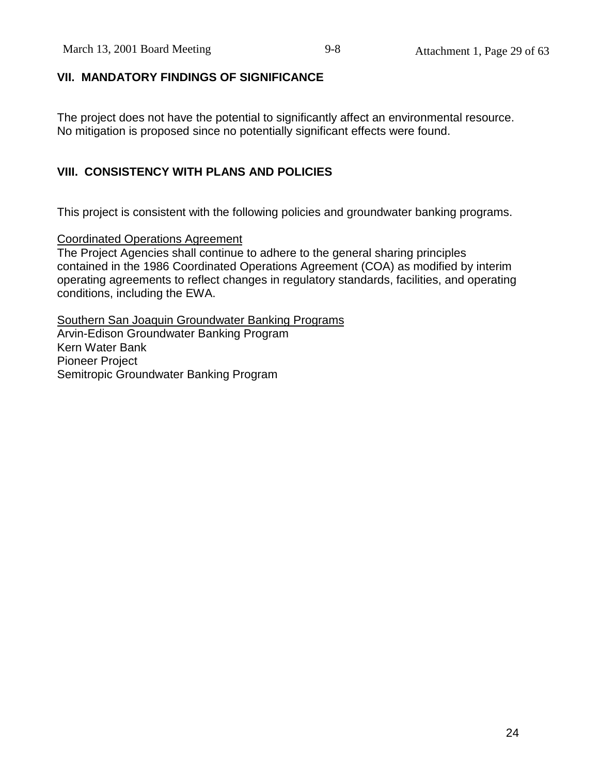## **VII. MANDATORY FINDINGS OF SIGNIFICANCE**

The project does not have the potential to significantly affect an environmental resource. No mitigation is proposed since no potentially significant effects were found.

## **VIII. CONSISTENCY WITH PLANS AND POLICIES**

This project is consistent with the following policies and groundwater banking programs.

#### Coordinated Operations Agreement

The Project Agencies shall continue to adhere to the general sharing principles contained in the 1986 Coordinated Operations Agreement (COA) as modified by interim operating agreements to reflect changes in regulatory standards, facilities, and operating conditions, including the EWA.

Southern San Joaquin Groundwater Banking Programs Arvin-Edison Groundwater Banking Program Kern Water Bank Pioneer Project Semitropic Groundwater Banking Program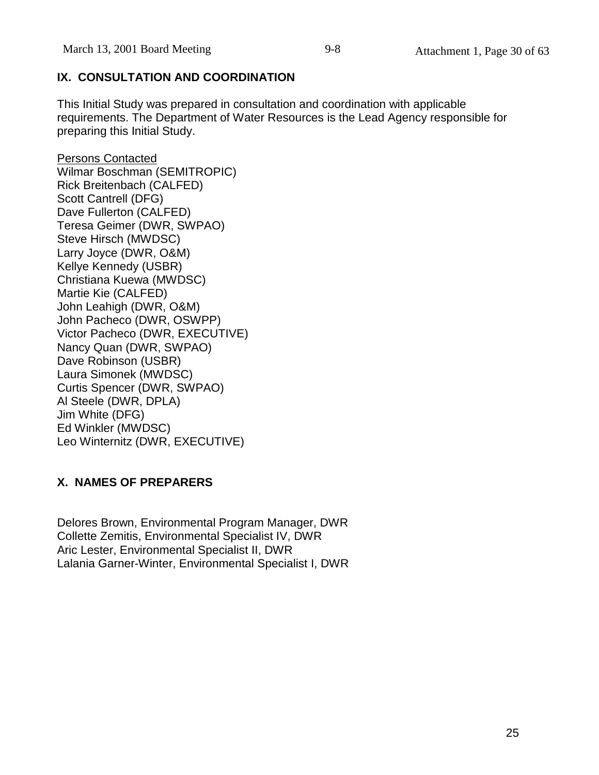## **IX. CONSULTATION AND COORDINATION**

This Initial Study was prepared in consultation and coordination with applicable requirements. The Department of Water Resources is the Lead Agency responsible for preparing this Initial Study.

Persons Contacted Wilmar Boschman (SEMITROPIC) Rick Breitenbach (CALFED) Scott Cantrell (DFG) Dave Fullerton (CALFED) Teresa Geimer (DWR, SWPAO) Steve Hirsch (MWDSC) Larry Joyce (DWR, O&M) Kellye Kennedy (USBR) Christiana Kuewa (MWDSC) Martie Kie (CALFED) John Leahigh (DWR, O&M) John Pacheco (DWR, OSWPP) Victor Pacheco (DWR, EXECUTIVE) Nancy Quan (DWR, SWPAO) Dave Robinson (USBR) Laura Simonek (MWDSC) Curtis Spencer (DWR, SWPAO) Al Steele (DWR, DPLA) Jim White (DFG) Ed Winkler (MWDSC) Leo Winternitz (DWR, EXECUTIVE)

## **X. NAMES OF PREPARERS**

Delores Brown, Environmental Program Manager, DWR Collette Zemitis, Environmental Specialist IV, DWR Aric Lester, Environmental Specialist II, DWR Lalania Garner-Winter, Environmental Specialist I, DWR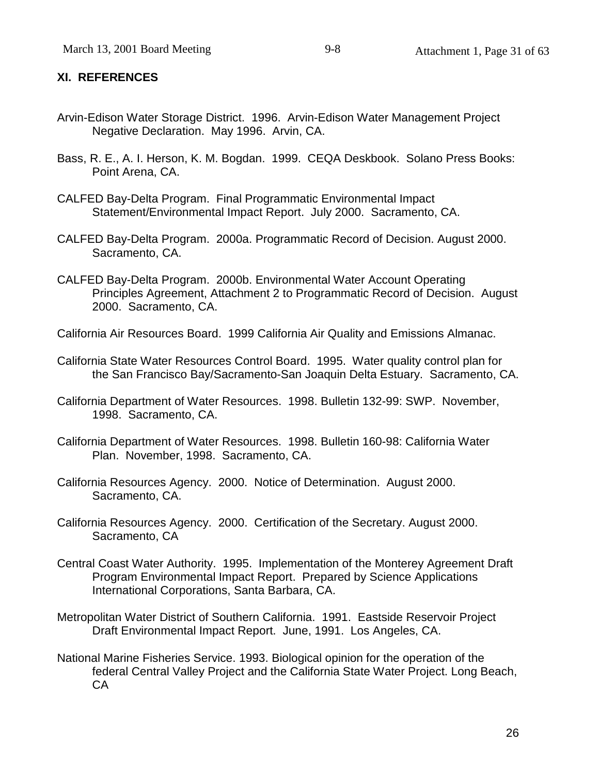#### **XI. REFERENCES**

- Arvin-Edison Water Storage District. 1996. Arvin-Edison Water Management Project Negative Declaration. May 1996. Arvin, CA.
- Bass, R. E., A. I. Herson, K. M. Bogdan. 1999. CEQA Deskbook. Solano Press Books: Point Arena, CA.
- CALFED Bay-Delta Program. Final Programmatic Environmental Impact Statement/Environmental Impact Report. July 2000. Sacramento, CA.
- CALFED Bay-Delta Program. 2000a. Programmatic Record of Decision. August 2000. Sacramento, CA.
- CALFED Bay-Delta Program. 2000b. Environmental Water Account Operating Principles Agreement, Attachment 2 to Programmatic Record of Decision. August 2000. Sacramento, CA.
- California Air Resources Board. 1999 California Air Quality and Emissions Almanac.
- California State Water Resources Control Board. 1995. Water quality control plan for the San Francisco Bay/Sacramento-San Joaquin Delta Estuary. Sacramento, CA.
- California Department of Water Resources. 1998. Bulletin 132-99: SWP. November, 1998. Sacramento, CA.
- California Department of Water Resources. 1998. Bulletin 160-98: California Water Plan. November, 1998. Sacramento, CA.
- California Resources Agency. 2000. Notice of Determination. August 2000. Sacramento, CA.
- California Resources Agency. 2000. Certification of the Secretary. August 2000. Sacramento, CA
- Central Coast Water Authority. 1995. Implementation of the Monterey Agreement Draft Program Environmental Impact Report. Prepared by Science Applications International Corporations, Santa Barbara, CA.
- Metropolitan Water District of Southern California. 1991. Eastside Reservoir Project Draft Environmental Impact Report. June, 1991. Los Angeles, CA.
- National Marine Fisheries Service. 1993. Biological opinion for the operation of the federal Central Valley Project and the California State Water Project. Long Beach, CA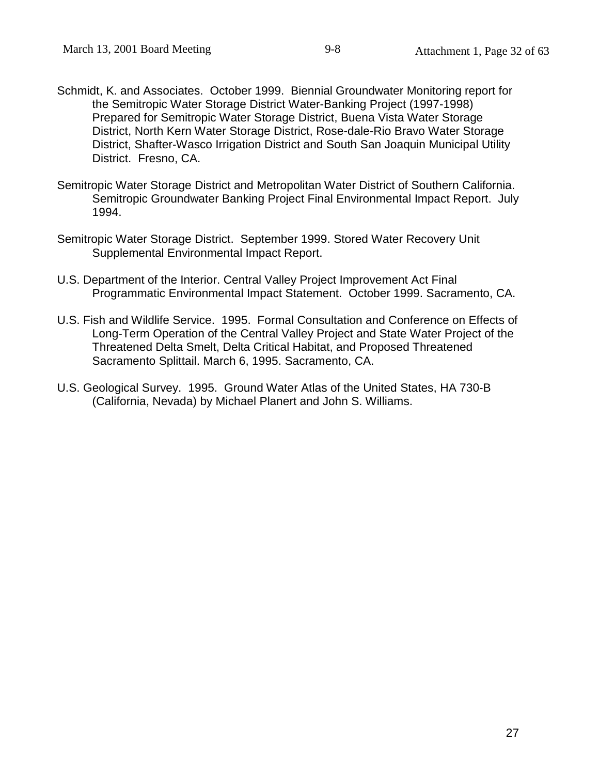- Schmidt, K. and Associates. October 1999. Biennial Groundwater Monitoring report for the Semitropic Water Storage District Water-Banking Project (1997-1998) Prepared for Semitropic Water Storage District, Buena Vista Water Storage District, North Kern Water Storage District, Rose-dale-Rio Bravo Water Storage District, Shafter-Wasco Irrigation District and South San Joaquin Municipal Utility District. Fresno, CA.
- Semitropic Water Storage District and Metropolitan Water District of Southern California. Semitropic Groundwater Banking Project Final Environmental Impact Report. July 1994.
- Semitropic Water Storage District. September 1999. Stored Water Recovery Unit Supplemental Environmental Impact Report.
- U.S. Department of the Interior. Central Valley Project Improvement Act Final Programmatic Environmental Impact Statement. October 1999. Sacramento, CA.
- U.S. Fish and Wildlife Service. 1995. Formal Consultation and Conference on Effects of Long-Term Operation of the Central Valley Project and State Water Project of the Threatened Delta Smelt, Delta Critical Habitat, and Proposed Threatened Sacramento Splittail. March 6, 1995. Sacramento, CA.
- U.S. Geological Survey. 1995. Ground Water Atlas of the United States, HA 730-B (California, Nevada) by Michael Planert and John S. Williams.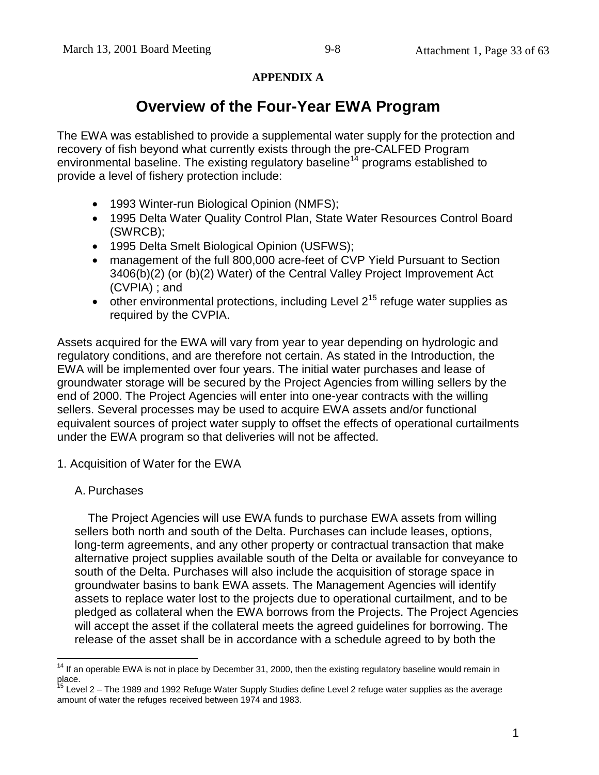## **APPENDIX A**

## **Overview of the Four-Year EWA Program**

The EWA was established to provide a supplemental water supply for the protection and recovery of fish beyond what currently exists through the pre-CALFED Program environmental baseline. The existing regulatory baseline<sup>14</sup> programs established to provide a level of fishery protection include:

- 1993 Winter-run Biological Opinion (NMFS);
- 1995 Delta Water Quality Control Plan, State Water Resources Control Board (SWRCB);
- 1995 Delta Smelt Biological Opinion (USFWS);
- management of the full 800,000 acre-feet of CVP Yield Pursuant to Section 3406(b)(2) (or (b)(2) Water) of the Central Valley Project Improvement Act (CVPIA) ; and
- other environmental protections, including Level  $2^{15}$  refuge water supplies as required by the CVPIA.

Assets acquired for the EWA will vary from year to year depending on hydrologic and regulatory conditions, and are therefore not certain. As stated in the Introduction, the EWA will be implemented over four years. The initial water purchases and lease of groundwater storage will be secured by the Project Agencies from willing sellers by the end of 2000. The Project Agencies will enter into one-year contracts with the willing sellers. Several processes may be used to acquire EWA assets and/or functional equivalent sources of project water supply to offset the effects of operational curtailments under the EWA program so that deliveries will not be affected.

- 1. Acquisition of Water for the EWA
	- A. Purchases

1

The Project Agencies will use EWA funds to purchase EWA assets from willing sellers both north and south of the Delta. Purchases can include leases, options, long-term agreements, and any other property or contractual transaction that make alternative project supplies available south of the Delta or available for conveyance to south of the Delta. Purchases will also include the acquisition of storage space in groundwater basins to bank EWA assets. The Management Agencies will identify assets to replace water lost to the projects due to operational curtailment, and to be pledged as collateral when the EWA borrows from the Projects. The Project Agencies will accept the asset if the collateral meets the agreed guidelines for borrowing. The release of the asset shall be in accordance with a schedule agreed to by both the

 $14$  If an operable EWA is not in place by December 31, 2000, then the existing regulatory baseline would remain in place.

<sup>&</sup>lt;sup>15</sup> Level 2 – The 1989 and 1992 Refuge Water Supply Studies define Level 2 refuge water supplies as the average amount of water the refuges received between 1974 and 1983.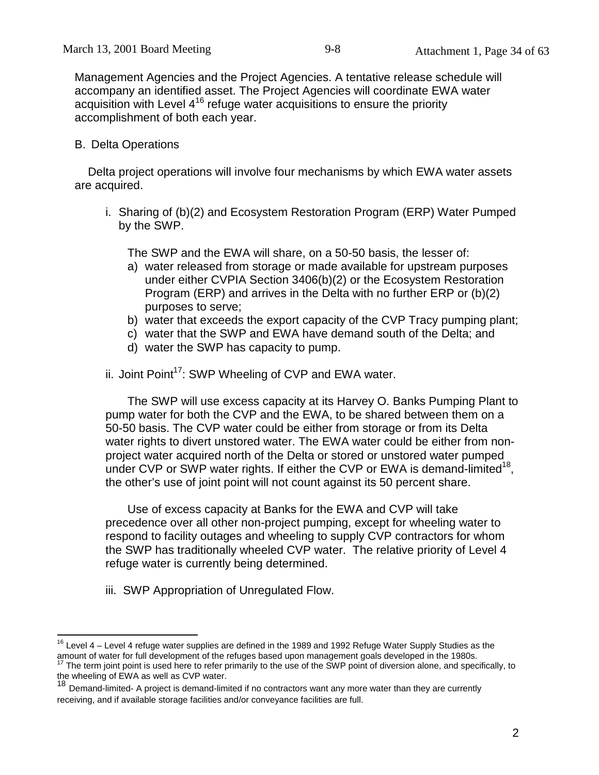Management Agencies and the Project Agencies. A tentative release schedule will accompany an identified asset. The Project Agencies will coordinate EWA water acquisition with Level  $4^{16}$  refuge water acquisitions to ensure the priority accomplishment of both each year.

B. Delta Operations

1

Delta project operations will involve four mechanisms by which EWA water assets are acquired.

i. Sharing of (b)(2) and Ecosystem Restoration Program (ERP) Water Pumped by the SWP.

The SWP and the EWA will share, on a 50-50 basis, the lesser of:

- a) water released from storage or made available for upstream purposes under either CVPIA Section 3406(b)(2) or the Ecosystem Restoration Program (ERP) and arrives in the Delta with no further ERP or (b)(2) purposes to serve;
- b) water that exceeds the export capacity of the CVP Tracy pumping plant;
- c) water that the SWP and EWA have demand south of the Delta; and
- d) water the SWP has capacity to pump.
- ii. Joint  $Point^{17}$ : SWP Wheeling of CVP and EWA water.

The SWP will use excess capacity at its Harvey O. Banks Pumping Plant to pump water for both the CVP and the EWA, to be shared between them on a 50-50 basis. The CVP water could be either from storage or from its Delta water rights to divert unstored water. The EWA water could be either from nonproject water acquired north of the Delta or stored or unstored water pumped under CVP or SWP water rights. If either the CVP or EWA is demand-limited<sup>18</sup>, the other's use of joint point will not count against its 50 percent share.

Use of excess capacity at Banks for the EWA and CVP will take precedence over all other non-project pumping, except for wheeling water to respond to facility outages and wheeling to supply CVP contractors for whom the SWP has traditionally wheeled CVP water. The relative priority of Level 4 refuge water is currently being determined.

iii. SWP Appropriation of Unregulated Flow.

 $16$  Level 4 – Level 4 refuge water supplies are defined in the 1989 and 1992 Refuge Water Supply Studies as the amount of water for full development of the refuges based upon management goals developed in the 1980s. The term joint point is used here to refer primarily to the use of the SWP point of diversion alone, and specifically, to the wheeling of EWA as well as CVP water.

<sup>18</sup> Demand-limited- A project is demand-limited if no contractors want any more water than they are currently receiving, and if available storage facilities and/or conveyance facilities are full.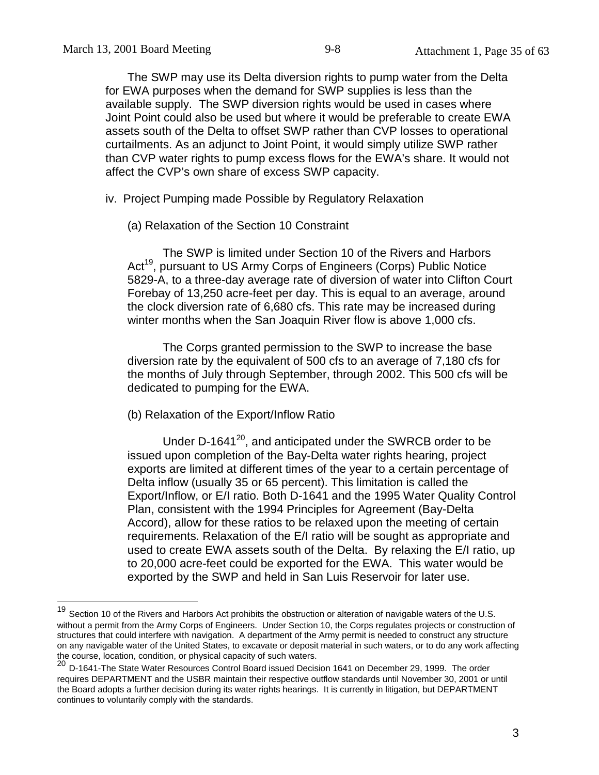1

The SWP may use its Delta diversion rights to pump water from the Delta for EWA purposes when the demand for SWP supplies is less than the available supply. The SWP diversion rights would be used in cases where Joint Point could also be used but where it would be preferable to create EWA assets south of the Delta to offset SWP rather than CVP losses to operational curtailments. As an adjunct to Joint Point, it would simply utilize SWP rather than CVP water rights to pump excess flows for the EWA's share. It would not affect the CVP's own share of excess SWP capacity.

iv. Project Pumping made Possible by Regulatory Relaxation

(a) Relaxation of the Section 10 Constraint

The SWP is limited under Section 10 of the Rivers and Harbors Act<sup>19</sup>, pursuant to US Army Corps of Engineers (Corps) Public Notice 5829-A, to a three-day average rate of diversion of water into Clifton Court Forebay of 13,250 acre-feet per day. This is equal to an average, around the clock diversion rate of 6,680 cfs. This rate may be increased during winter months when the San Joaquin River flow is above 1,000 cfs.

The Corps granted permission to the SWP to increase the base diversion rate by the equivalent of 500 cfs to an average of 7,180 cfs for the months of July through September, through 2002. This 500 cfs will be dedicated to pumping for the EWA.

(b) Relaxation of the Export/Inflow Ratio

Under D-1641 $20$ , and anticipated under the SWRCB order to be issued upon completion of the Bay-Delta water rights hearing, project exports are limited at different times of the year to a certain percentage of Delta inflow (usually 35 or 65 percent). This limitation is called the Export/Inflow, or E/I ratio. Both D-1641 and the 1995 Water Quality Control Plan, consistent with the 1994 Principles for Agreement (Bay-Delta Accord), allow for these ratios to be relaxed upon the meeting of certain requirements. Relaxation of the E/I ratio will be sought as appropriate and used to create EWA assets south of the Delta. By relaxing the E/I ratio, up to 20,000 acre-feet could be exported for the EWA. This water would be exported by the SWP and held in San Luis Reservoir for later use.

<sup>&</sup>lt;sup>19</sup> Section 10 of the Rivers and Harbors Act prohibits the obstruction or alteration of navigable waters of the U.S. without a permit from the Army Corps of Engineers. Under Section 10, the Corps regulates projects or construction of structures that could interfere with navigation. A department of the Army permit is needed to construct any structure on any navigable water of the United States, to excavate or deposit material in such waters, or to do any work affecting the course, location, condition, or physical capacity of such waters.

<sup>20</sup> D-1641-The State Water Resources Control Board issued Decision 1641 on December 29, 1999. The order requires DEPARTMENT and the USBR maintain their respective outflow standards until November 30, 2001 or until the Board adopts a further decision during its water rights hearings. It is currently in litigation, but DEPARTMENT continues to voluntarily comply with the standards.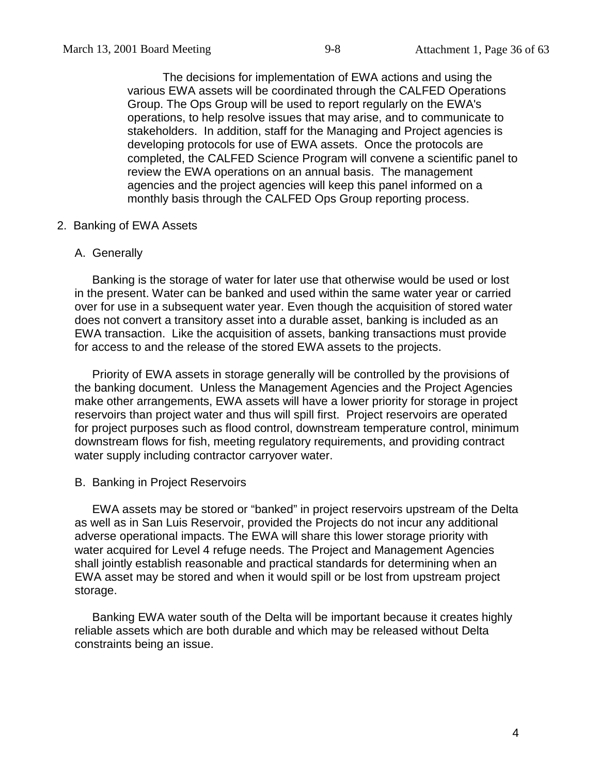The decisions for implementation of EWA actions and using the various EWA assets will be coordinated through the CALFED Operations Group. The Ops Group will be used to report regularly on the EWA's operations, to help resolve issues that may arise, and to communicate to stakeholders. In addition, staff for the Managing and Project agencies is developing protocols for use of EWA assets. Once the protocols are completed, the CALFED Science Program will convene a scientific panel to review the EWA operations on an annual basis. The management agencies and the project agencies will keep this panel informed on a monthly basis through the CALFED Ops Group reporting process.

#### 2. Banking of EWA Assets

#### A. Generally

Banking is the storage of water for later use that otherwise would be used or lost in the present. Water can be banked and used within the same water year or carried over for use in a subsequent water year. Even though the acquisition of stored water does not convert a transitory asset into a durable asset, banking is included as an EWA transaction. Like the acquisition of assets, banking transactions must provide for access to and the release of the stored EWA assets to the projects.

Priority of EWA assets in storage generally will be controlled by the provisions of the banking document. Unless the Management Agencies and the Project Agencies make other arrangements, EWA assets will have a lower priority for storage in project reservoirs than project water and thus will spill first. Project reservoirs are operated for project purposes such as flood control, downstream temperature control, minimum downstream flows for fish, meeting regulatory requirements, and providing contract water supply including contractor carryover water.

#### B. Banking in Project Reservoirs

EWA assets may be stored or "banked" in project reservoirs upstream of the Delta as well as in San Luis Reservoir, provided the Projects do not incur any additional adverse operational impacts. The EWA will share this lower storage priority with water acquired for Level 4 refuge needs. The Project and Management Agencies shall jointly establish reasonable and practical standards for determining when an EWA asset may be stored and when it would spill or be lost from upstream project storage.

Banking EWA water south of the Delta will be important because it creates highly reliable assets which are both durable and which may be released without Delta constraints being an issue.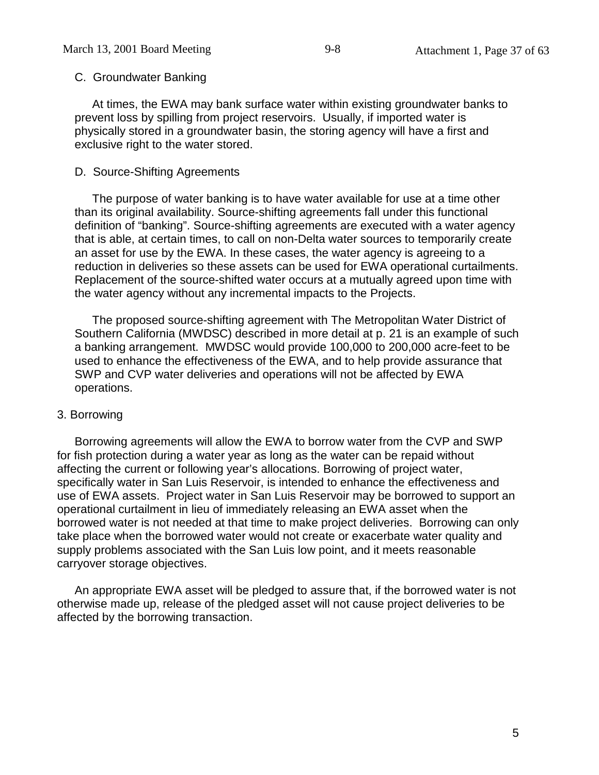#### C. Groundwater Banking

At times, the EWA may bank surface water within existing groundwater banks to prevent loss by spilling from project reservoirs. Usually, if imported water is physically stored in a groundwater basin, the storing agency will have a first and exclusive right to the water stored.

#### D. Source-Shifting Agreements

The purpose of water banking is to have water available for use at a time other than its original availability. Source-shifting agreements fall under this functional definition of "banking". Source-shifting agreements are executed with a water agency that is able, at certain times, to call on non-Delta water sources to temporarily create an asset for use by the EWA. In these cases, the water agency is agreeing to a reduction in deliveries so these assets can be used for EWA operational curtailments. Replacement of the source-shifted water occurs at a mutually agreed upon time with the water agency without any incremental impacts to the Projects.

The proposed source-shifting agreement with The Metropolitan Water District of Southern California (MWDSC) described in more detail at p. 21 is an example of such a banking arrangement. MWDSC would provide 100,000 to 200,000 acre-feet to be used to enhance the effectiveness of the EWA, and to help provide assurance that SWP and CVP water deliveries and operations will not be affected by EWA operations.

#### 3. Borrowing

Borrowing agreements will allow the EWA to borrow water from the CVP and SWP for fish protection during a water year as long as the water can be repaid without affecting the current or following year's allocations. Borrowing of project water, specifically water in San Luis Reservoir, is intended to enhance the effectiveness and use of EWA assets. Project water in San Luis Reservoir may be borrowed to support an operational curtailment in lieu of immediately releasing an EWA asset when the borrowed water is not needed at that time to make project deliveries. Borrowing can only take place when the borrowed water would not create or exacerbate water quality and supply problems associated with the San Luis low point, and it meets reasonable carryover storage objectives.

An appropriate EWA asset will be pledged to assure that, if the borrowed water is not otherwise made up, release of the pledged asset will not cause project deliveries to be affected by the borrowing transaction.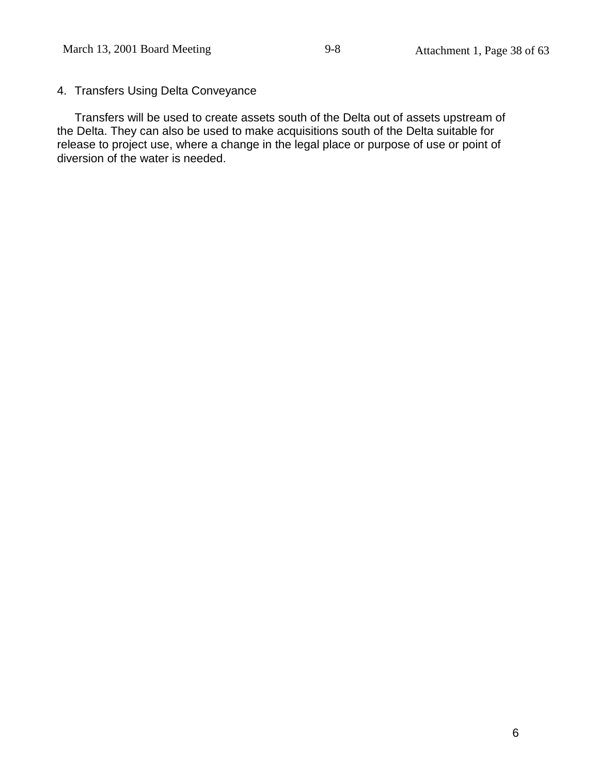4. Transfers Using Delta Conveyance

Transfers will be used to create assets south of the Delta out of assets upstream of the Delta. They can also be used to make acquisitions south of the Delta suitable for release to project use, where a change in the legal place or purpose of use or point of diversion of the water is needed.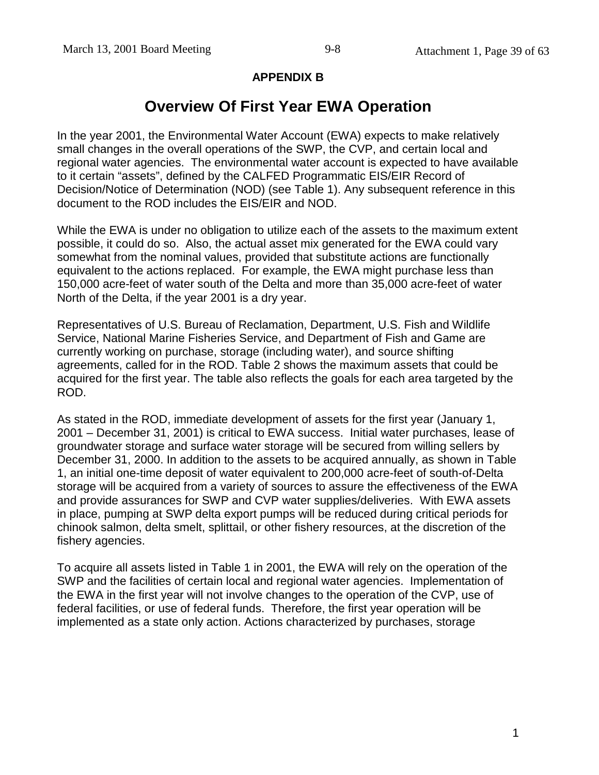## **APPENDIX B**

# **Overview Of First Year EWA Operation**

In the year 2001, the Environmental Water Account (EWA) expects to make relatively small changes in the overall operations of the SWP, the CVP, and certain local and regional water agencies. The environmental water account is expected to have available to it certain "assets", defined by the CALFED Programmatic EIS/EIR Record of Decision/Notice of Determination (NOD) (see Table 1). Any subsequent reference in this document to the ROD includes the EIS/EIR and NOD.

While the EWA is under no obligation to utilize each of the assets to the maximum extent possible, it could do so. Also, the actual asset mix generated for the EWA could vary somewhat from the nominal values, provided that substitute actions are functionally equivalent to the actions replaced. For example, the EWA might purchase less than 150,000 acre-feet of water south of the Delta and more than 35,000 acre-feet of water North of the Delta, if the year 2001 is a dry year.

Representatives of U.S. Bureau of Reclamation, Department, U.S. Fish and Wildlife Service, National Marine Fisheries Service, and Department of Fish and Game are currently working on purchase, storage (including water), and source shifting agreements, called for in the ROD. Table 2 shows the maximum assets that could be acquired for the first year. The table also reflects the goals for each area targeted by the ROD.

As stated in the ROD, immediate development of assets for the first year (January 1, 2001 – December 31, 2001) is critical to EWA success. Initial water purchases, lease of groundwater storage and surface water storage will be secured from willing sellers by December 31, 2000. In addition to the assets to be acquired annually, as shown in Table 1, an initial one-time deposit of water equivalent to 200,000 acre-feet of south-of-Delta storage will be acquired from a variety of sources to assure the effectiveness of the EWA and provide assurances for SWP and CVP water supplies/deliveries. With EWA assets in place, pumping at SWP delta export pumps will be reduced during critical periods for chinook salmon, delta smelt, splittail, or other fishery resources, at the discretion of the fishery agencies.

To acquire all assets listed in Table 1 in 2001, the EWA will rely on the operation of the SWP and the facilities of certain local and regional water agencies. Implementation of the EWA in the first year will not involve changes to the operation of the CVP, use of federal facilities, or use of federal funds. Therefore, the first year operation will be implemented as a state only action. Actions characterized by purchases, storage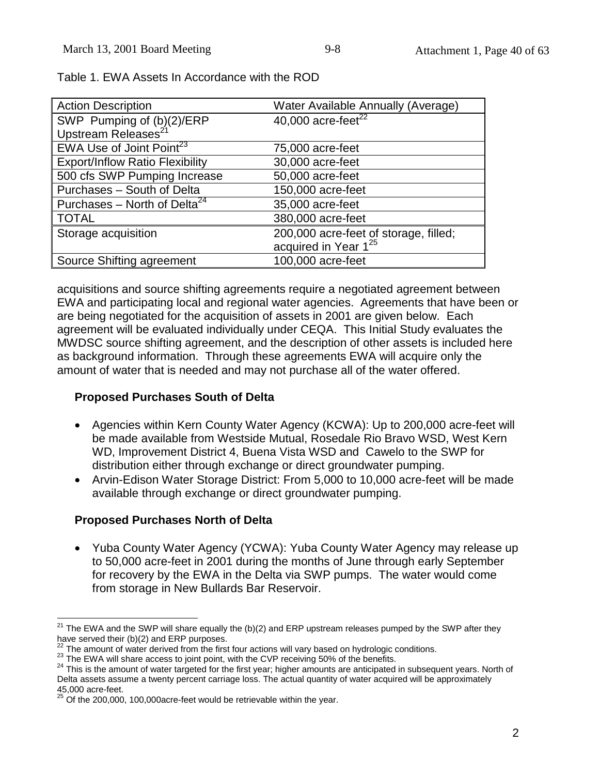| <b>Action Description</b>                | Water Available Annually (Average)    |
|------------------------------------------|---------------------------------------|
| SWP Pumping of (b)(2)/ERP                | $40,000$ acre-feet <sup>22</sup>      |
| Upstream Releases <sup>21</sup>          |                                       |
| EWA Use of Joint Point <sup>23</sup>     | 75,000 acre-feet                      |
| <b>Export/Inflow Ratio Flexibility</b>   | 30,000 acre-feet                      |
| 500 cfs SWP Pumping Increase             | 50,000 acre-feet                      |
| Purchases - South of Delta               | 150,000 acre-feet                     |
| Purchases – North of Delta <sup>24</sup> | 35,000 acre-feet                      |
| <b>TOTAL</b>                             | 380,000 acre-feet                     |
| Storage acquisition                      | 200,000 acre-feet of storage, filled; |
|                                          | acquired in Year 1 <sup>25</sup>      |
| Source Shifting agreement                | 100,000 acre-feet                     |

Table 1. EWA Assets In Accordance with the ROD

acquisitions and source shifting agreements require a negotiated agreement between EWA and participating local and regional water agencies. Agreements that have been or are being negotiated for the acquisition of assets in 2001 are given below. Each agreement will be evaluated individually under CEQA. This Initial Study evaluates the MWDSC source shifting agreement, and the description of other assets is included here as background information. Through these agreements EWA will acquire only the amount of water that is needed and may not purchase all of the water offered.

## **Proposed Purchases South of Delta**

- Agencies within Kern County Water Agency (KCWA): Up to 200,000 acre-feet will be made available from Westside Mutual, Rosedale Rio Bravo WSD, West Kern WD, Improvement District 4, Buena Vista WSD and Cawelo to the SWP for distribution either through exchange or direct groundwater pumping.
- Arvin-Edison Water Storage District: From 5,000 to 10,000 acre-feet will be made available through exchange or direct groundwater pumping.

## **Proposed Purchases North of Delta**

• Yuba County Water Agency (YCWA): Yuba County Water Agency may release up to 50,000 acre-feet in 2001 during the months of June through early September for recovery by the EWA in the Delta via SWP pumps. The water would come from storage in New Bullards Bar Reservoir.

<sup>1</sup> <sup>21</sup> The EWA and the SWP will share equally the (b)(2) and ERP upstream releases pumped by the SWP after they have served their (b)(2) and ERP purposes.<br><sup>22</sup> The amount of water derived from the first four actions will vary based on hydrologic conditions.

<sup>&</sup>lt;sup>23</sup> The EWA will share access to joint point, with the CVP receiving 50% of the benefits.<br><sup>24</sup> This is the amount of water targeted for the first year; higher amounts are anticipated in subsequent years. North of Delta assets assume a twenty percent carriage loss. The actual quantity of water acquired will be approximately 45,000 acre-feet.

 $^{25}$  Of the 200,000, 100,000acre-feet would be retrievable within the year.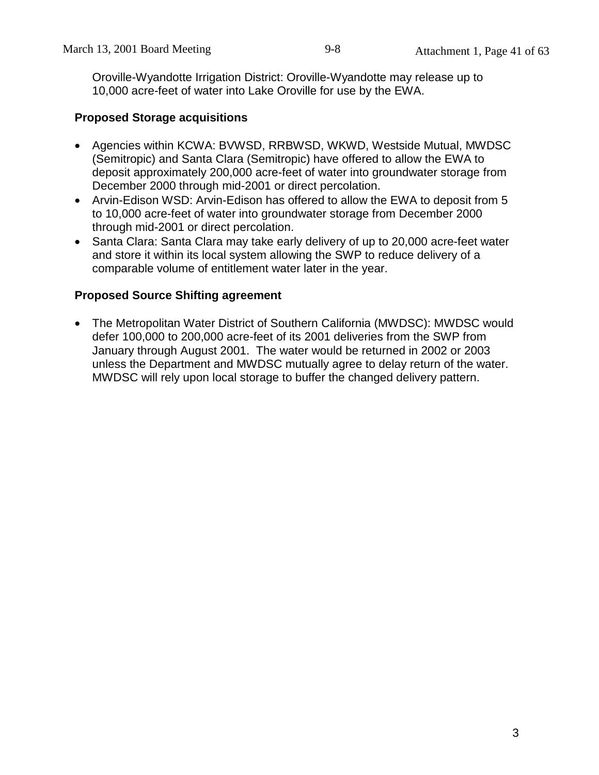Oroville-Wyandotte Irrigation District: Oroville-Wyandotte may release up to 10,000 acre-feet of water into Lake Oroville for use by the EWA.

## **Proposed Storage acquisitions**

- Agencies within KCWA: BVWSD, RRBWSD, WKWD, Westside Mutual, MWDSC (Semitropic) and Santa Clara (Semitropic) have offered to allow the EWA to deposit approximately 200,000 acre-feet of water into groundwater storage from December 2000 through mid-2001 or direct percolation.
- Arvin-Edison WSD: Arvin-Edison has offered to allow the EWA to deposit from 5 to 10,000 acre-feet of water into groundwater storage from December 2000 through mid-2001 or direct percolation.
- Santa Clara: Santa Clara may take early delivery of up to 20,000 acre-feet water and store it within its local system allowing the SWP to reduce delivery of a comparable volume of entitlement water later in the year.

## **Proposed Source Shifting agreement**

• The Metropolitan Water District of Southern California (MWDSC): MWDSC would defer 100,000 to 200,000 acre-feet of its 2001 deliveries from the SWP from January through August 2001. The water would be returned in 2002 or 2003 unless the Department and MWDSC mutually agree to delay return of the water. MWDSC will rely upon local storage to buffer the changed delivery pattern.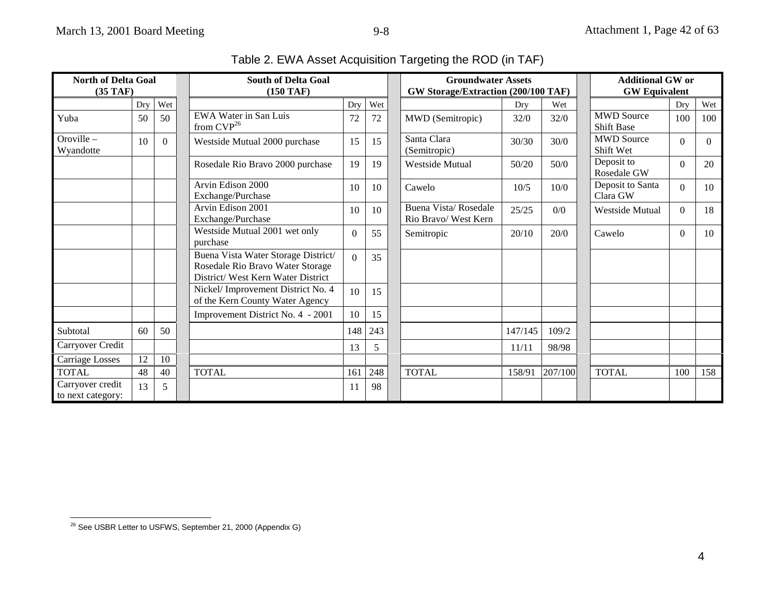| <b>North of Delta Goal</b><br>$(35)$ TAF) |                 | <b>South of Delta Goal</b><br>$(150)$ TAF) |                                                                                                              |          | <b>Groundwater Assets</b><br>GW Storage/Extraction (200/100 TAF) |                                              |         | <b>Additional GW or</b><br><b>GW</b> Equivalent |  |                                        |          |          |
|-------------------------------------------|-----------------|--------------------------------------------|--------------------------------------------------------------------------------------------------------------|----------|------------------------------------------------------------------|----------------------------------------------|---------|-------------------------------------------------|--|----------------------------------------|----------|----------|
|                                           | Dry             | Wet                                        |                                                                                                              | Dry      | Wet                                                              |                                              | Drv     | Wet                                             |  | Dry                                    |          | Wet      |
| Yuba                                      | 50              | 50                                         | EWA Water in San Luis<br>from $CVP^{26}$                                                                     | 72       | 72                                                               | MWD (Semitropic)                             | 32/0    | 32/0                                            |  | <b>MWD Source</b><br><b>Shift Base</b> | 100      | 100      |
| Oroville-<br>Wyandotte                    | 10              | $\Omega$                                   | Westside Mutual 2000 purchase                                                                                | 15       | 15                                                               | Santa Clara<br>(Semitropic)                  | 30/30   | 30/0                                            |  | <b>MWD Source</b><br>Shift Wet         | $\Omega$ | $\Omega$ |
|                                           |                 |                                            | Rosedale Rio Bravo 2000 purchase                                                                             | 19       | 19                                                               | <b>Westside Mutual</b>                       | 50/20   | 50/0                                            |  | Deposit to<br>Rosedale GW              | $\Omega$ | 20       |
|                                           |                 |                                            | Arvin Edison 2000<br>Exchange/Purchase                                                                       | 10       | 10                                                               | Cawelo                                       | $10/5$  | 10/0                                            |  | Deposit to Santa<br>Clara GW           | $\Omega$ | 10       |
|                                           |                 |                                            | Arvin Edison 2001<br>Exchange/Purchase                                                                       | 10       | 10                                                               | Buena Vista/Rosedale<br>Rio Bravo/ West Kern | 25/25   | 0/0                                             |  | <b>Westside Mutual</b>                 | $\Omega$ | 18       |
|                                           |                 |                                            | Westside Mutual 2001 wet only<br>purchase                                                                    | $\Omega$ | 55                                                               | Semitropic                                   | 20/10   | 20/0                                            |  | Cawelo                                 | $\Omega$ | 10       |
|                                           |                 |                                            | Buena Vista Water Storage District/<br>Rosedale Rio Bravo Water Storage<br>District/West Kern Water District | $\Omega$ | 35                                                               |                                              |         |                                                 |  |                                        |          |          |
|                                           |                 |                                            | Nickel/Improvement District No. 4<br>of the Kern County Water Agency                                         | 10       | 15                                                               |                                              |         |                                                 |  |                                        |          |          |
|                                           |                 |                                            | Improvement District No. 4 - 2001                                                                            | 10       | 15                                                               |                                              |         |                                                 |  |                                        |          |          |
| Subtotal                                  | 60              | 50                                         |                                                                                                              | 148      | 243                                                              |                                              | 147/145 | 109/2                                           |  |                                        |          |          |
| Carryover Credit                          |                 |                                            |                                                                                                              | 13       | 5                                                                |                                              | 11/11   | 98/98                                           |  |                                        |          |          |
| Carriage Losses                           | $\overline{12}$ | $\overline{10}$                            |                                                                                                              |          |                                                                  |                                              |         |                                                 |  |                                        |          |          |
| <b>TOTAL</b>                              | 48              | 40                                         | <b>TOTAL</b>                                                                                                 | 161      | 248                                                              | <b>TOTAL</b>                                 | 158/91  | 207/100                                         |  | <b>TOTAL</b>                           | 100      | 158      |
| Carryover credit<br>to next category:     | 13              | 5                                          |                                                                                                              | 11       | 98                                                               |                                              |         |                                                 |  |                                        |          |          |

Table 2. EWA Asset Acquisition Targeting the ROD (in TAF)

<sup>&</sup>lt;sup>26</sup> See USBR Letter to USFWS, September 21, 2000 (Appendix G)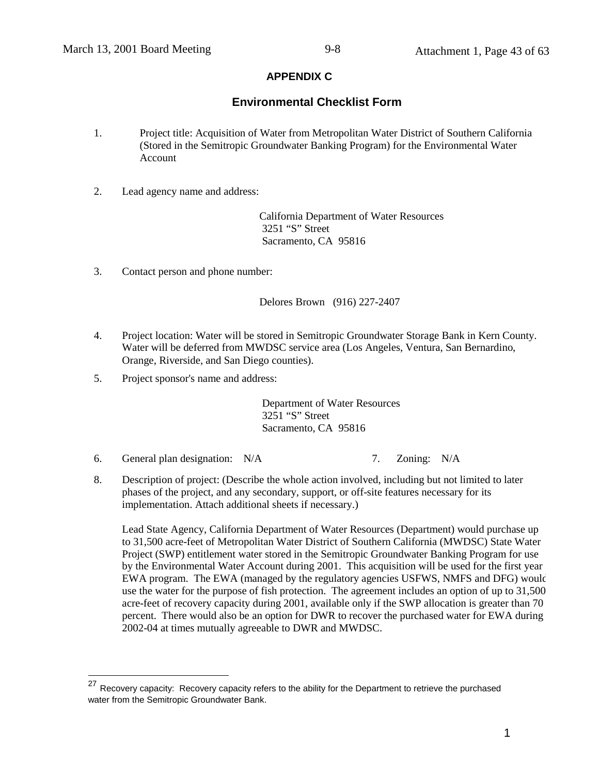#### **APPENDIX C**

## **Environmental Checklist Form**

- 1. Project title: Acquisition of Water from Metropolitan Water District of Southern California (Stored in the Semitropic Groundwater Banking Program) for the Environmental Water Account
- 2. Lead agency name and address:

 California Department of Water Resources 3251 "S" Street Sacramento, CA 95816

3. Contact person and phone number:

Delores Brown (916) 227-2407

- 4. Project location: Water will be stored in Semitropic Groundwater Storage Bank in Kern County. Water will be deferred from MWDSC service area (Los Angeles, Ventura, San Bernardino, Orange, Riverside, and San Diego counties).
- 5. Project sponsor's name and address:

 Department of Water Resources 3251 "S" Street Sacramento, CA 95816

- 6. General plan designation: N/A 7. Zoning: N/A
- 8. Description of project: (Describe the whole action involved, including but not limited to later phases of the project, and any secondary, support, or off-site features necessary for its implementation. Attach additional sheets if necessary.)

Lead State Agency, California Department of Water Resources (Department) would purchase up to 31,500 acre-feet of Metropolitan Water District of Southern California (MWDSC) State Water Project (SWP) entitlement water stored in the Semitropic Groundwater Banking Program for use by the Environmental Water Account during 2001. This acquisition will be used for the first year EWA program. The EWA (managed by the regulatory agencies USFWS, NMFS and DFG) would use the water for the purpose of fish protection. The agreement includes an option of up to 31,500 acre-feet of recovery capacity during 2001, available only if the SWP allocation is greater than 70 percent. There would also be an option for DWR to recover the purchased water for EWA during 2002-04 at times mutually agreeable to DWR and MWDSC.

<sup>27</sup> Recovery capacity: Recovery capacity refers to the ability for the Department to retrieve the purchased water from the Semitropic Groundwater Bank.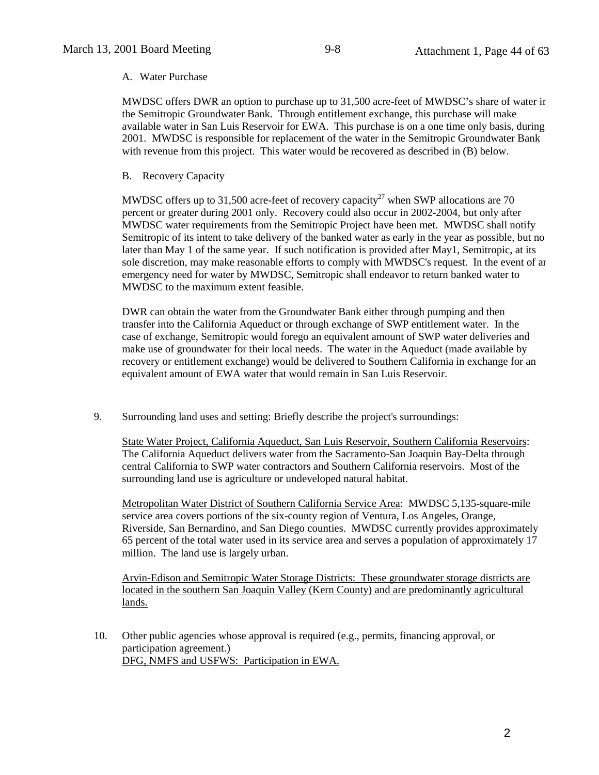#### A. Water Purchase

MWDSC offers DWR an option to purchase up to 31,500 acre-feet of MWDSC's share of water in the Semitropic Groundwater Bank. Through entitlement exchange, this purchase will make available water in San Luis Reservoir for EWA. This purchase is on a one time only basis, during 2001. MWDSC is responsible for replacement of the water in the Semitropic Groundwater Bank with revenue from this project. This water would be recovered as described in  $(B)$  below.

#### B. Recovery Capacity

MWDSC offers up to 31,500 acre-feet of recovery capacity<sup>27</sup> when SWP allocations are 70 percent or greater during 2001 only. Recovery could also occur in 2002-2004, but only after MWDSC water requirements from the Semitropic Project have been met. MWDSC shall notify Semitropic of its intent to take delivery of the banked water as early in the year as possible, but no later than May 1 of the same year. If such notification is provided after May1, Semitropic, at its sole discretion, may make reasonable efforts to comply with MWDSC's request. In the event of an emergency need for water by MWDSC, Semitropic shall endeavor to return banked water to MWDSC to the maximum extent feasible.

DWR can obtain the water from the Groundwater Bank either through pumping and then transfer into the California Aqueduct or through exchange of SWP entitlement water. In the case of exchange, Semitropic would forego an equivalent amount of SWP water deliveries and make use of groundwater for their local needs. The water in the Aqueduct (made available by recovery or entitlement exchange) would be delivered to Southern California in exchange for an equivalent amount of EWA water that would remain in San Luis Reservoir.

9. Surrounding land uses and setting: Briefly describe the project's surroundings:

State Water Project, California Aqueduct, San Luis Reservoir, Southern California Reservoirs: The California Aqueduct delivers water from the Sacramento-San Joaquin Bay-Delta through central California to SWP water contractors and Southern California reservoirs. Most of the surrounding land use is agriculture or undeveloped natural habitat.

Metropolitan Water District of Southern California Service Area: MWDSC 5,135-square-mile service area covers portions of the six-county region of Ventura, Los Angeles, Orange, Riverside, San Bernardino, and San Diego counties. MWDSC currently provides approximately 65 percent of the total water used in its service area and serves a population of approximately 17 million. The land use is largely urban.

Arvin-Edison and Semitropic Water Storage Districts: These groundwater storage districts are located in the southern San Joaquin Valley (Kern County) and are predominantly agricultural lands.

10. Other public agencies whose approval is required (e.g., permits, financing approval, or participation agreement.) DFG, NMFS and USFWS: Participation in EWA.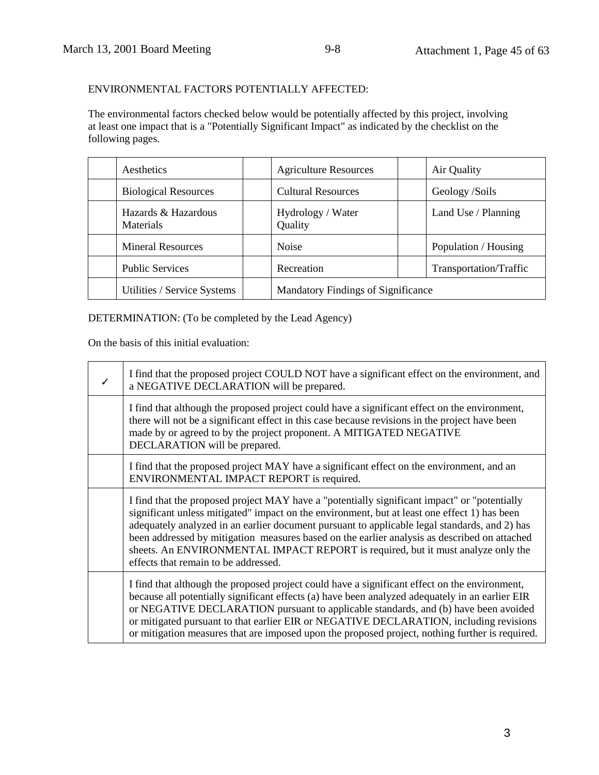#### ENVIRONMENTAL FACTORS POTENTIALLY AFFECTED:

The environmental factors checked below would be potentially affected by this project, involving at least one impact that is a "Potentially Significant Impact" as indicated by the checklist on the following pages.

| Aesthetics                              | <b>Agriculture Resources</b>       | Air Quality            |  |  |  |
|-----------------------------------------|------------------------------------|------------------------|--|--|--|
| <b>Biological Resources</b>             | <b>Cultural Resources</b>          | Geology /Soils         |  |  |  |
| Hazards & Hazardous<br><b>Materials</b> | Hydrology / Water<br>Quality       | Land Use / Planning    |  |  |  |
| <b>Mineral Resources</b>                | <b>Noise</b>                       | Population / Housing   |  |  |  |
| <b>Public Services</b>                  | Recreation                         | Transportation/Traffic |  |  |  |
| Utilities / Service Systems             | Mandatory Findings of Significance |                        |  |  |  |

#### DETERMINATION: (To be completed by the Lead Agency)

On the basis of this initial evaluation:

| I find that the proposed project COULD NOT have a significant effect on the environment, and<br>a NEGATIVE DECLARATION will be prepared.                                                                                                                                                                                                                                                                                                                                                                                  |
|---------------------------------------------------------------------------------------------------------------------------------------------------------------------------------------------------------------------------------------------------------------------------------------------------------------------------------------------------------------------------------------------------------------------------------------------------------------------------------------------------------------------------|
| I find that although the proposed project could have a significant effect on the environment,<br>there will not be a significant effect in this case because revisions in the project have been<br>made by or agreed to by the project proponent. A MITIGATED NEGATIVE<br>DECLARATION will be prepared.                                                                                                                                                                                                                   |
| I find that the proposed project MAY have a significant effect on the environment, and an<br>ENVIRONMENTAL IMPACT REPORT is required.                                                                                                                                                                                                                                                                                                                                                                                     |
| I find that the proposed project MAY have a "potentially significant impact" or "potentially<br>significant unless mitigated" impact on the environment, but at least one effect 1) has been<br>adequately analyzed in an earlier document pursuant to applicable legal standards, and 2) has<br>been addressed by mitigation measures based on the earlier analysis as described on attached<br>sheets. An ENVIRONMENTAL IMPACT REPORT is required, but it must analyze only the<br>effects that remain to be addressed. |
| I find that although the proposed project could have a significant effect on the environment,<br>because all potentially significant effects (a) have been analyzed adequately in an earlier EIR<br>or NEGATIVE DECLARATION pursuant to applicable standards, and (b) have been avoided<br>or mitigated pursuant to that earlier EIR or NEGATIVE DECLARATION, including revisions<br>or mitigation measures that are imposed upon the proposed project, nothing further is required.                                      |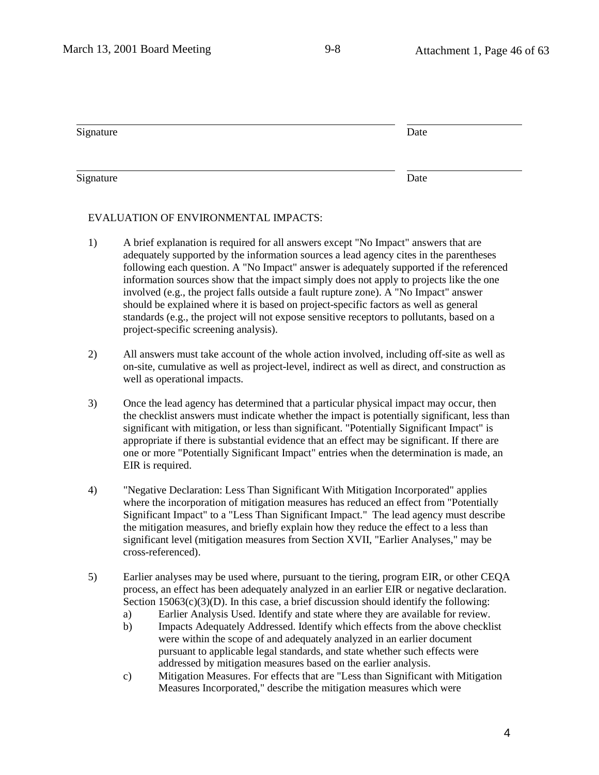| Signature | Date |
|-----------|------|
| Signature | Date |

#### EVALUATION OF ENVIRONMENTAL IMPACTS:

- 1) A brief explanation is required for all answers except "No Impact" answers that are adequately supported by the information sources a lead agency cites in the parentheses following each question. A "No Impact" answer is adequately supported if the referenced information sources show that the impact simply does not apply to projects like the one involved (e.g., the project falls outside a fault rupture zone). A "No Impact" answer should be explained where it is based on project-specific factors as well as general standards (e.g., the project will not expose sensitive receptors to pollutants, based on a project-specific screening analysis).
- 2) All answers must take account of the whole action involved, including off-site as well as on-site, cumulative as well as project-level, indirect as well as direct, and construction as well as operational impacts.
- 3) Once the lead agency has determined that a particular physical impact may occur, then the checklist answers must indicate whether the impact is potentially significant, less than significant with mitigation, or less than significant. "Potentially Significant Impact" is appropriate if there is substantial evidence that an effect may be significant. If there are one or more "Potentially Significant Impact" entries when the determination is made, an EIR is required.
- 4) "Negative Declaration: Less Than Significant With Mitigation Incorporated" applies where the incorporation of mitigation measures has reduced an effect from "Potentially Significant Impact" to a "Less Than Significant Impact." The lead agency must describe the mitigation measures, and briefly explain how they reduce the effect to a less than significant level (mitigation measures from Section XVII, "Earlier Analyses," may be cross-referenced).
- 5) Earlier analyses may be used where, pursuant to the tiering, program EIR, or other CEQA process, an effect has been adequately analyzed in an earlier EIR or negative declaration. Section  $15063(c)(3)(D)$ . In this case, a brief discussion should identify the following:
	- a) Earlier Analysis Used. Identify and state where they are available for review.
	- b) Impacts Adequately Addressed. Identify which effects from the above checklist were within the scope of and adequately analyzed in an earlier document pursuant to applicable legal standards, and state whether such effects were addressed by mitigation measures based on the earlier analysis.
	- c) Mitigation Measures. For effects that are "Less than Significant with Mitigation Measures Incorporated," describe the mitigation measures which were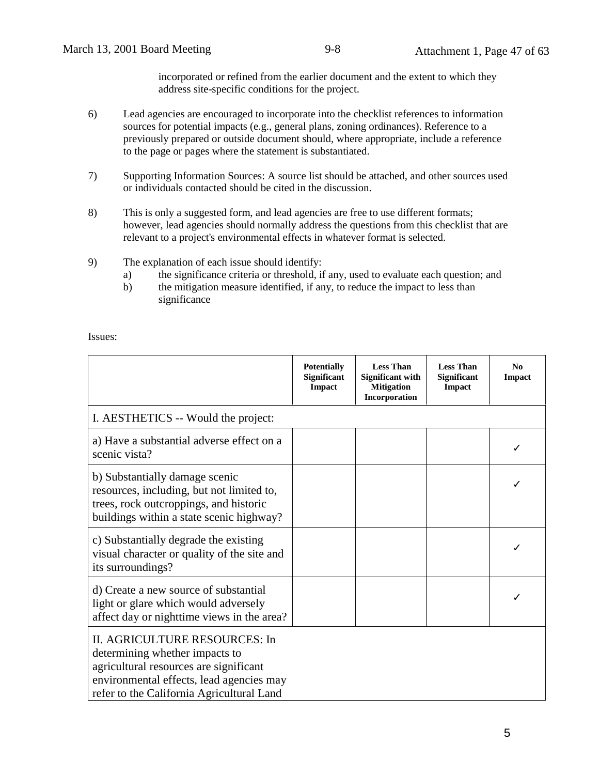March 13, 2001 Board Meeting 9-8 Attachment 1, Page 47 of 63

incorporated or refined from the earlier document and the extent to which they address site-specific conditions for the project.

- 6) Lead agencies are encouraged to incorporate into the checklist references to information sources for potential impacts (e.g., general plans, zoning ordinances). Reference to a previously prepared or outside document should, where appropriate, include a reference to the page or pages where the statement is substantiated.
- 7) Supporting Information Sources: A source list should be attached, and other sources used or individuals contacted should be cited in the discussion.
- 8) This is only a suggested form, and lead agencies are free to use different formats; however, lead agencies should normally address the questions from this checklist that are relevant to a project's environmental effects in whatever format is selected.
- 9) The explanation of each issue should identify:
	- a) the significance criteria or threshold, if any, used to evaluate each question; and
	- b) the mitigation measure identified, if any, to reduce the impact to less than significance

Issues:

|                                                                                                                                                                                                    | <b>Potentially</b><br><b>Significant</b><br>Impact | <b>Less Than</b><br><b>Significant with</b><br><b>Mitigation</b><br>Incorporation | <b>Less Than</b><br>Significant<br>Impact | N <sub>0</sub><br>Impact |
|----------------------------------------------------------------------------------------------------------------------------------------------------------------------------------------------------|----------------------------------------------------|-----------------------------------------------------------------------------------|-------------------------------------------|--------------------------|
| I. AESTHETICS -- Would the project:                                                                                                                                                                |                                                    |                                                                                   |                                           |                          |
| a) Have a substantial adverse effect on a<br>scenic vista?                                                                                                                                         |                                                    |                                                                                   |                                           |                          |
| b) Substantially damage scenic<br>resources, including, but not limited to,<br>trees, rock outcroppings, and historic<br>buildings within a state scenic highway?                                  |                                                    |                                                                                   |                                           |                          |
| c) Substantially degrade the existing<br>visual character or quality of the site and<br>its surroundings?                                                                                          |                                                    |                                                                                   |                                           |                          |
| d) Create a new source of substantial<br>light or glare which would adversely<br>affect day or nighttime views in the area?                                                                        |                                                    |                                                                                   |                                           |                          |
| II. AGRICULTURE RESOURCES: In<br>determining whether impacts to<br>agricultural resources are significant<br>environmental effects, lead agencies may<br>refer to the California Agricultural Land |                                                    |                                                                                   |                                           |                          |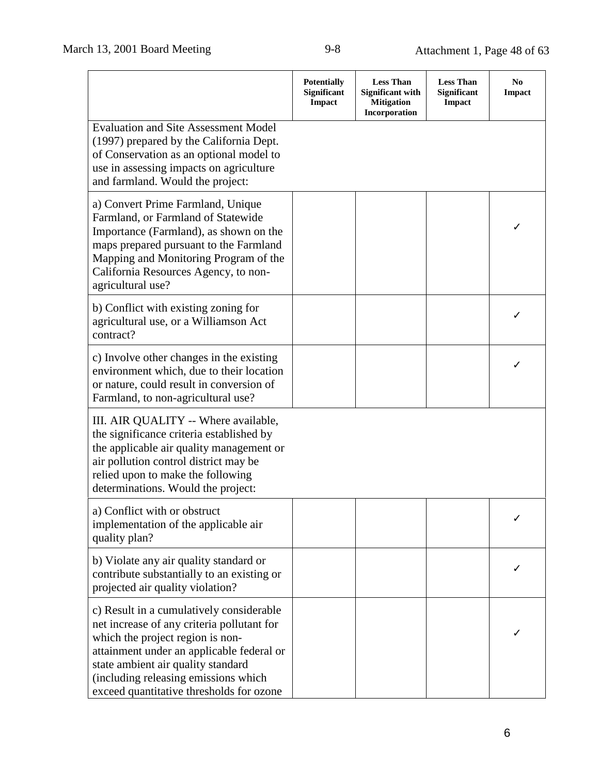|                                                                                                                                                                                                                                                                                                   | <b>Potentially</b><br><b>Significant</b><br>Impact | <b>Less Than</b><br><b>Significant with</b><br><b>Mitigation</b><br>Incorporation | <b>Less Than</b><br>Significant<br>Impact | N <sub>0</sub><br><b>Impact</b> |
|---------------------------------------------------------------------------------------------------------------------------------------------------------------------------------------------------------------------------------------------------------------------------------------------------|----------------------------------------------------|-----------------------------------------------------------------------------------|-------------------------------------------|---------------------------------|
| <b>Evaluation and Site Assessment Model</b><br>(1997) prepared by the California Dept.<br>of Conservation as an optional model to<br>use in assessing impacts on agriculture<br>and farmland. Would the project:                                                                                  |                                                    |                                                                                   |                                           |                                 |
| a) Convert Prime Farmland, Unique<br>Farmland, or Farmland of Statewide<br>Importance (Farmland), as shown on the<br>maps prepared pursuant to the Farmland<br>Mapping and Monitoring Program of the<br>California Resources Agency, to non-<br>agricultural use?                                 |                                                    |                                                                                   |                                           |                                 |
| b) Conflict with existing zoning for<br>agricultural use, or a Williamson Act<br>contract?                                                                                                                                                                                                        |                                                    |                                                                                   |                                           |                                 |
| c) Involve other changes in the existing<br>environment which, due to their location<br>or nature, could result in conversion of<br>Farmland, to non-agricultural use?                                                                                                                            |                                                    |                                                                                   |                                           |                                 |
| III. AIR QUALITY -- Where available,<br>the significance criteria established by<br>the applicable air quality management or<br>air pollution control district may be<br>relied upon to make the following<br>determinations. Would the project:                                                  |                                                    |                                                                                   |                                           |                                 |
| a) Conflict with or obstruct<br>implementation of the applicable air<br>quality plan?                                                                                                                                                                                                             |                                                    |                                                                                   |                                           |                                 |
| b) Violate any air quality standard or<br>contribute substantially to an existing or<br>projected air quality violation?                                                                                                                                                                          |                                                    |                                                                                   |                                           |                                 |
| c) Result in a cumulatively considerable<br>net increase of any criteria pollutant for<br>which the project region is non-<br>attainment under an applicable federal or<br>state ambient air quality standard<br>(including releasing emissions which<br>exceed quantitative thresholds for ozone |                                                    |                                                                                   |                                           |                                 |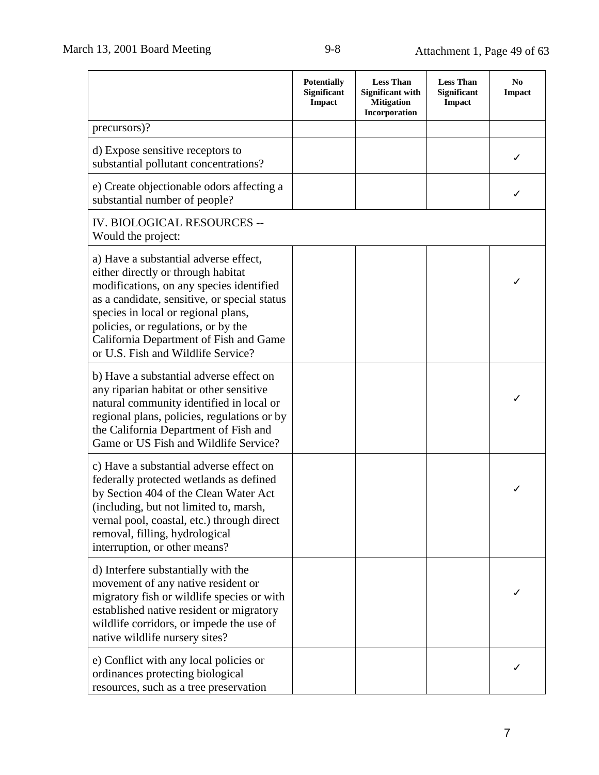|                                                                                                                                                                                                                                                                                                                                       | <b>Potentially</b><br>Significant<br>Impact | <b>Less Than</b><br><b>Significant with</b><br><b>Mitigation</b><br>Incorporation | <b>Less Than</b><br>Significant<br><b>Impact</b> | N <sub>0</sub><br>Impact |
|---------------------------------------------------------------------------------------------------------------------------------------------------------------------------------------------------------------------------------------------------------------------------------------------------------------------------------------|---------------------------------------------|-----------------------------------------------------------------------------------|--------------------------------------------------|--------------------------|
| precursors)?                                                                                                                                                                                                                                                                                                                          |                                             |                                                                                   |                                                  |                          |
| d) Expose sensitive receptors to<br>substantial pollutant concentrations?                                                                                                                                                                                                                                                             |                                             |                                                                                   |                                                  |                          |
| e) Create objectionable odors affecting a<br>substantial number of people?                                                                                                                                                                                                                                                            |                                             |                                                                                   |                                                  |                          |
| IV. BIOLOGICAL RESOURCES --<br>Would the project:                                                                                                                                                                                                                                                                                     |                                             |                                                                                   |                                                  |                          |
| a) Have a substantial adverse effect,<br>either directly or through habitat<br>modifications, on any species identified<br>as a candidate, sensitive, or special status<br>species in local or regional plans,<br>policies, or regulations, or by the<br>California Department of Fish and Game<br>or U.S. Fish and Wildlife Service? |                                             |                                                                                   |                                                  |                          |
| b) Have a substantial adverse effect on<br>any riparian habitat or other sensitive<br>natural community identified in local or<br>regional plans, policies, regulations or by<br>the California Department of Fish and<br>Game or US Fish and Wildlife Service?                                                                       |                                             |                                                                                   |                                                  |                          |
| c) Have a substantial adverse effect on<br>federally protected wetlands as defined<br>by Section 404 of the Clean Water Act<br>(including, but not limited to, marsh,<br>vernal pool, coastal, etc.) through direct<br>removal, filling, hydrological<br>interruption, or other means?                                                |                                             |                                                                                   |                                                  |                          |
| d) Interfere substantially with the<br>movement of any native resident or<br>migratory fish or wildlife species or with<br>established native resident or migratory<br>wildlife corridors, or impede the use of<br>native wildlife nursery sites?                                                                                     |                                             |                                                                                   |                                                  |                          |
| e) Conflict with any local policies or<br>ordinances protecting biological<br>resources, such as a tree preservation                                                                                                                                                                                                                  |                                             |                                                                                   |                                                  |                          |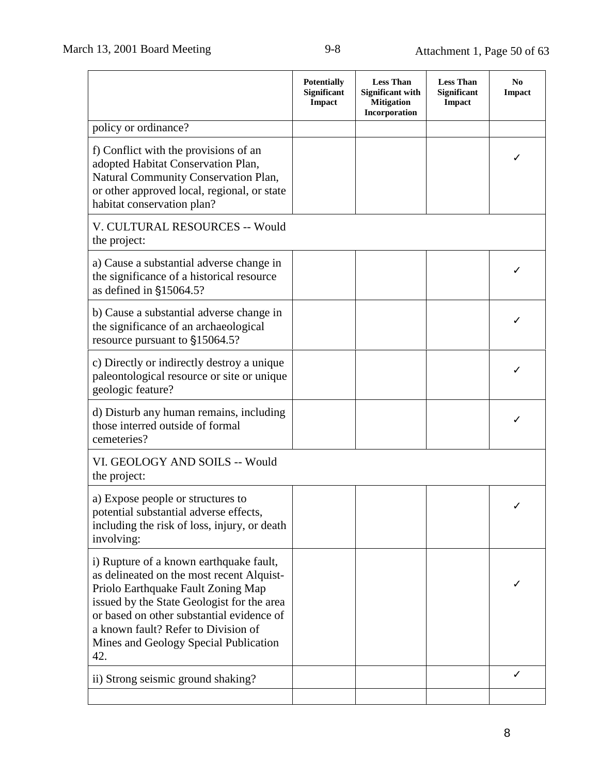|                                                                                                                                                                                                                                                                                                              | <b>Potentially</b><br><b>Significant</b><br>Impact | <b>Less Than</b><br><b>Significant with</b><br><b>Mitigation</b><br>Incorporation | <b>Less Than</b><br>Significant<br><b>Impact</b> | N <sub>0</sub><br>Impact |
|--------------------------------------------------------------------------------------------------------------------------------------------------------------------------------------------------------------------------------------------------------------------------------------------------------------|----------------------------------------------------|-----------------------------------------------------------------------------------|--------------------------------------------------|--------------------------|
| policy or ordinance?                                                                                                                                                                                                                                                                                         |                                                    |                                                                                   |                                                  |                          |
| f) Conflict with the provisions of an<br>adopted Habitat Conservation Plan,<br>Natural Community Conservation Plan,<br>or other approved local, regional, or state<br>habitat conservation plan?                                                                                                             |                                                    |                                                                                   |                                                  |                          |
| V. CULTURAL RESOURCES -- Would<br>the project:                                                                                                                                                                                                                                                               |                                                    |                                                                                   |                                                  |                          |
| a) Cause a substantial adverse change in<br>the significance of a historical resource<br>as defined in §15064.5?                                                                                                                                                                                             |                                                    |                                                                                   |                                                  |                          |
| b) Cause a substantial adverse change in<br>the significance of an archaeological<br>resource pursuant to §15064.5?                                                                                                                                                                                          |                                                    |                                                                                   |                                                  |                          |
| c) Directly or indirectly destroy a unique<br>paleontological resource or site or unique<br>geologic feature?                                                                                                                                                                                                |                                                    |                                                                                   |                                                  |                          |
| d) Disturb any human remains, including<br>those interred outside of formal<br>cemeteries?                                                                                                                                                                                                                   |                                                    |                                                                                   |                                                  |                          |
| VI. GEOLOGY AND SOILS -- Would<br>the project:                                                                                                                                                                                                                                                               |                                                    |                                                                                   |                                                  |                          |
| a) Expose people or structures to<br>potential substantial adverse effects,<br>including the risk of loss, injury, or death<br>involving:                                                                                                                                                                    |                                                    |                                                                                   |                                                  |                          |
| i) Rupture of a known earthquake fault,<br>as delineated on the most recent Alquist-<br>Priolo Earthquake Fault Zoning Map<br>issued by the State Geologist for the area<br>or based on other substantial evidence of<br>a known fault? Refer to Division of<br>Mines and Geology Special Publication<br>42. |                                                    |                                                                                   |                                                  |                          |
| ii) Strong seismic ground shaking?                                                                                                                                                                                                                                                                           |                                                    |                                                                                   |                                                  |                          |
|                                                                                                                                                                                                                                                                                                              |                                                    |                                                                                   |                                                  |                          |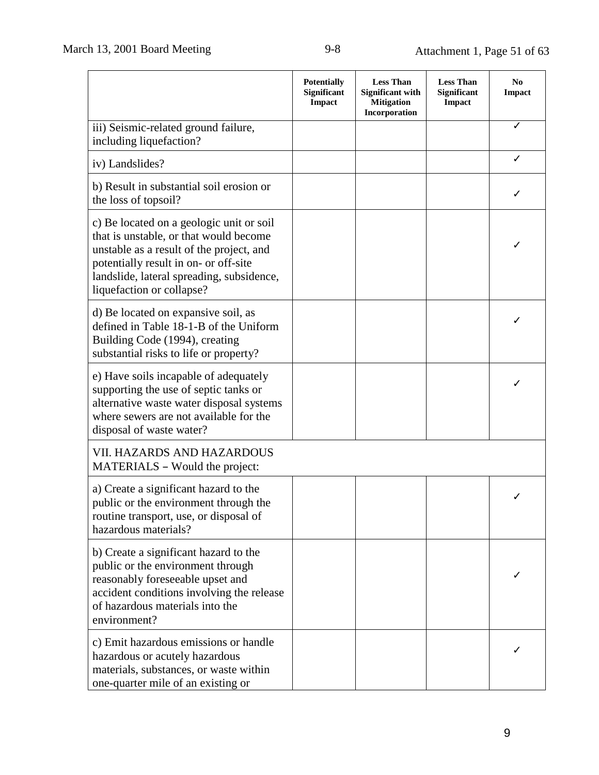|                                                                                                                                                                                                                                                   | <b>Potentially</b><br>Significant<br>Impact | <b>Less Than</b><br><b>Significant with</b><br><b>Mitigation</b><br>Incorporation | <b>Less Than</b><br>Significant<br>Impact | N <sub>0</sub><br>Impact |
|---------------------------------------------------------------------------------------------------------------------------------------------------------------------------------------------------------------------------------------------------|---------------------------------------------|-----------------------------------------------------------------------------------|-------------------------------------------|--------------------------|
| iii) Seismic-related ground failure,<br>including liquefaction?                                                                                                                                                                                   |                                             |                                                                                   |                                           |                          |
| iv) Landslides?                                                                                                                                                                                                                                   |                                             |                                                                                   |                                           |                          |
| b) Result in substantial soil erosion or<br>the loss of topsoil?                                                                                                                                                                                  |                                             |                                                                                   |                                           |                          |
| c) Be located on a geologic unit or soil<br>that is unstable, or that would become<br>unstable as a result of the project, and<br>potentially result in on- or off-site<br>landslide, lateral spreading, subsidence,<br>liquefaction or collapse? |                                             |                                                                                   |                                           |                          |
| d) Be located on expansive soil, as<br>defined in Table 18-1-B of the Uniform<br>Building Code (1994), creating<br>substantial risks to life or property?                                                                                         |                                             |                                                                                   |                                           |                          |
| e) Have soils incapable of adequately<br>supporting the use of septic tanks or<br>alternative waste water disposal systems<br>where sewers are not available for the<br>disposal of waste water?                                                  |                                             |                                                                                   |                                           |                          |
| <b>VII. HAZARDS AND HAZARDOUS</b><br>MATERIALS – Would the project:                                                                                                                                                                               |                                             |                                                                                   |                                           |                          |
| a) Create a significant hazard to the<br>public or the environment through the<br>routine transport, use, or disposal of<br>hazardous materials?                                                                                                  |                                             |                                                                                   |                                           |                          |
| b) Create a significant hazard to the<br>public or the environment through<br>reasonably foreseeable upset and<br>accident conditions involving the release<br>of hazardous materials into the<br>environment?                                    |                                             |                                                                                   |                                           |                          |
| c) Emit hazardous emissions or handle<br>hazardous or acutely hazardous<br>materials, substances, or waste within<br>one-quarter mile of an existing or                                                                                           |                                             |                                                                                   |                                           |                          |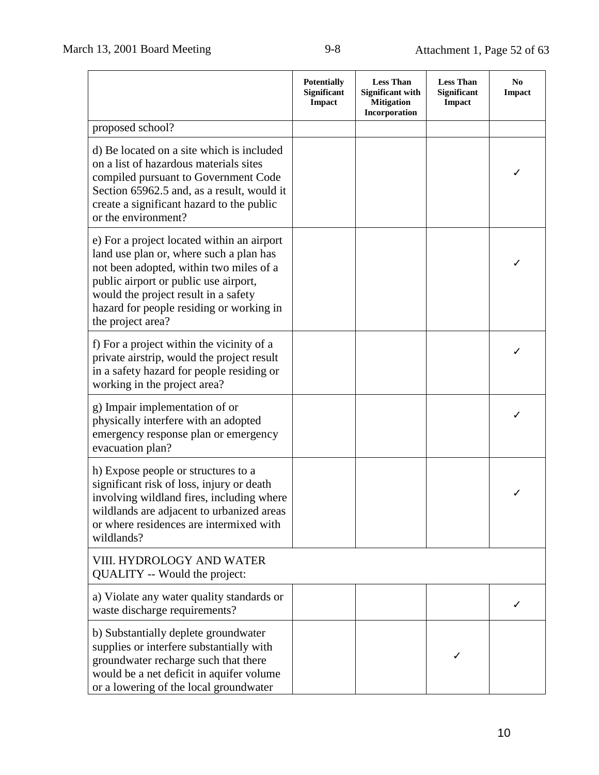|                                                                                                                                                                                                                                                                                    | <b>Potentially</b><br>Significant<br><b>Impact</b> | <b>Less Than</b><br><b>Significant with</b><br><b>Mitigation</b><br>Incorporation | <b>Less Than</b><br>Significant<br>Impact | N <sub>0</sub><br>Impact |
|------------------------------------------------------------------------------------------------------------------------------------------------------------------------------------------------------------------------------------------------------------------------------------|----------------------------------------------------|-----------------------------------------------------------------------------------|-------------------------------------------|--------------------------|
| proposed school?                                                                                                                                                                                                                                                                   |                                                    |                                                                                   |                                           |                          |
| d) Be located on a site which is included<br>on a list of hazardous materials sites<br>compiled pursuant to Government Code<br>Section 65962.5 and, as a result, would it<br>create a significant hazard to the public<br>or the environment?                                      |                                                    |                                                                                   |                                           |                          |
| e) For a project located within an airport<br>land use plan or, where such a plan has<br>not been adopted, within two miles of a<br>public airport or public use airport,<br>would the project result in a safety<br>hazard for people residing or working in<br>the project area? |                                                    |                                                                                   |                                           |                          |
| f) For a project within the vicinity of a<br>private airstrip, would the project result<br>in a safety hazard for people residing or<br>working in the project area?                                                                                                               |                                                    |                                                                                   |                                           |                          |
| g) Impair implementation of or<br>physically interfere with an adopted<br>emergency response plan or emergency<br>evacuation plan?                                                                                                                                                 |                                                    |                                                                                   |                                           |                          |
| h) Expose people or structures to a<br>significant risk of loss, injury or death<br>involving wildland fires, including where<br>wildlands are adjacent to urbanized areas<br>or where residences are intermixed with<br>wildlands?                                                |                                                    |                                                                                   |                                           |                          |
| VIII. HYDROLOGY AND WATER<br>QUALITY -- Would the project:                                                                                                                                                                                                                         |                                                    |                                                                                   |                                           |                          |
| a) Violate any water quality standards or<br>waste discharge requirements?                                                                                                                                                                                                         |                                                    |                                                                                   |                                           |                          |
| b) Substantially deplete groundwater<br>supplies or interfere substantially with<br>groundwater recharge such that there<br>would be a net deficit in aquifer volume<br>or a lowering of the local groundwater                                                                     |                                                    |                                                                                   |                                           |                          |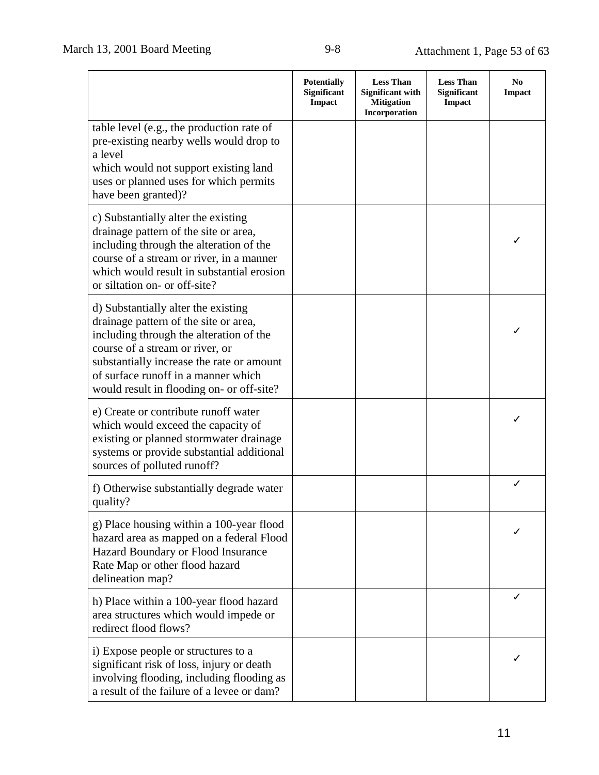|                                                                                                                                                                                                                                                                                             | <b>Potentially</b><br>Significant<br>Impact | <b>Less Than</b><br><b>Significant with</b><br><b>Mitigation</b><br>Incorporation | <b>Less Than</b><br>Significant<br><b>Impact</b> | N <sub>0</sub><br>Impact |
|---------------------------------------------------------------------------------------------------------------------------------------------------------------------------------------------------------------------------------------------------------------------------------------------|---------------------------------------------|-----------------------------------------------------------------------------------|--------------------------------------------------|--------------------------|
| table level (e.g., the production rate of<br>pre-existing nearby wells would drop to<br>a level<br>which would not support existing land<br>uses or planned uses for which permits<br>have been granted)?                                                                                   |                                             |                                                                                   |                                                  |                          |
| c) Substantially alter the existing<br>drainage pattern of the site or area,<br>including through the alteration of the<br>course of a stream or river, in a manner<br>which would result in substantial erosion<br>or siltation on- or off-site?                                           |                                             |                                                                                   |                                                  |                          |
| d) Substantially alter the existing<br>drainage pattern of the site or area,<br>including through the alteration of the<br>course of a stream or river, or<br>substantially increase the rate or amount<br>of surface runoff in a manner which<br>would result in flooding on- or off-site? |                                             |                                                                                   |                                                  |                          |
| e) Create or contribute runoff water<br>which would exceed the capacity of<br>existing or planned stormwater drainage<br>systems or provide substantial additional<br>sources of polluted runoff?                                                                                           |                                             |                                                                                   |                                                  |                          |
| f) Otherwise substantially degrade water<br>quality?                                                                                                                                                                                                                                        |                                             |                                                                                   |                                                  |                          |
| g) Place housing within a 100-year flood<br>hazard area as mapped on a federal Flood<br>Hazard Boundary or Flood Insurance<br>Rate Map or other flood hazard<br>delineation map?                                                                                                            |                                             |                                                                                   |                                                  |                          |
| h) Place within a 100-year flood hazard<br>area structures which would impede or<br>redirect flood flows?                                                                                                                                                                                   |                                             |                                                                                   |                                                  |                          |
| i) Expose people or structures to a<br>significant risk of loss, injury or death<br>involving flooding, including flooding as<br>a result of the failure of a levee or dam?                                                                                                                 |                                             |                                                                                   |                                                  |                          |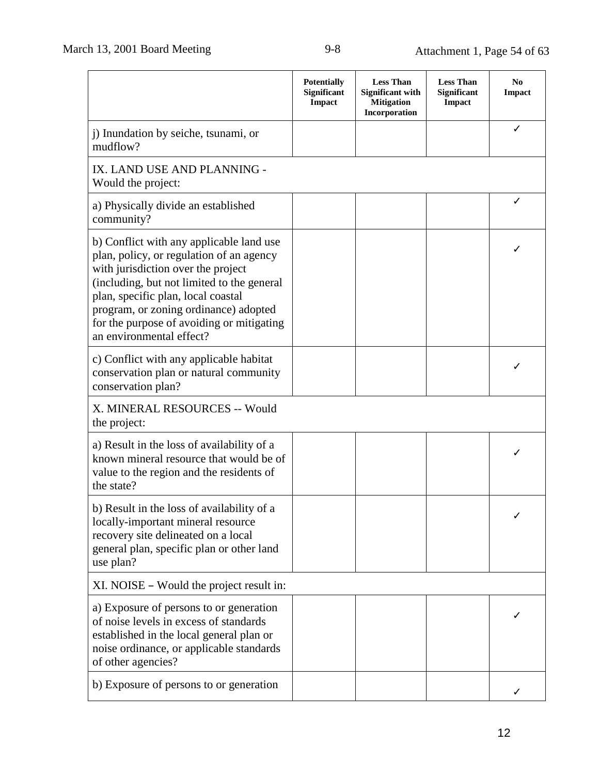|                                                                                                                                                                                                                                                                                                                                  | <b>Potentially</b><br>Significant<br>Impact | <b>Less Than</b><br><b>Significant with</b><br><b>Mitigation</b><br>Incorporation | <b>Less Than</b><br>Significant<br>Impact | N <sub>0</sub><br>Impact |
|----------------------------------------------------------------------------------------------------------------------------------------------------------------------------------------------------------------------------------------------------------------------------------------------------------------------------------|---------------------------------------------|-----------------------------------------------------------------------------------|-------------------------------------------|--------------------------|
| j) Inundation by seiche, tsunami, or<br>mudflow?                                                                                                                                                                                                                                                                                 |                                             |                                                                                   |                                           |                          |
| IX. LAND USE AND PLANNING -<br>Would the project:                                                                                                                                                                                                                                                                                |                                             |                                                                                   |                                           |                          |
| a) Physically divide an established<br>community?                                                                                                                                                                                                                                                                                |                                             |                                                                                   |                                           | ✓                        |
| b) Conflict with any applicable land use<br>plan, policy, or regulation of an agency<br>with jurisdiction over the project<br>(including, but not limited to the general<br>plan, specific plan, local coastal<br>program, or zoning ordinance) adopted<br>for the purpose of avoiding or mitigating<br>an environmental effect? |                                             |                                                                                   |                                           |                          |
| c) Conflict with any applicable habitat<br>conservation plan or natural community<br>conservation plan?                                                                                                                                                                                                                          |                                             |                                                                                   |                                           |                          |
| X. MINERAL RESOURCES -- Would<br>the project:                                                                                                                                                                                                                                                                                    |                                             |                                                                                   |                                           |                          |
| a) Result in the loss of availability of a<br>known mineral resource that would be of<br>value to the region and the residents of<br>the state?                                                                                                                                                                                  |                                             |                                                                                   |                                           |                          |
| b) Result in the loss of availability of a<br>locally-important mineral resource<br>recovery site delineated on a local<br>general plan, specific plan or other land<br>use plan?                                                                                                                                                |                                             |                                                                                   |                                           |                          |
| XI. NOISE – Would the project result in:                                                                                                                                                                                                                                                                                         |                                             |                                                                                   |                                           |                          |
| a) Exposure of persons to or generation<br>of noise levels in excess of standards<br>established in the local general plan or<br>noise ordinance, or applicable standards<br>of other agencies?                                                                                                                                  |                                             |                                                                                   |                                           |                          |
| b) Exposure of persons to or generation                                                                                                                                                                                                                                                                                          |                                             |                                                                                   |                                           |                          |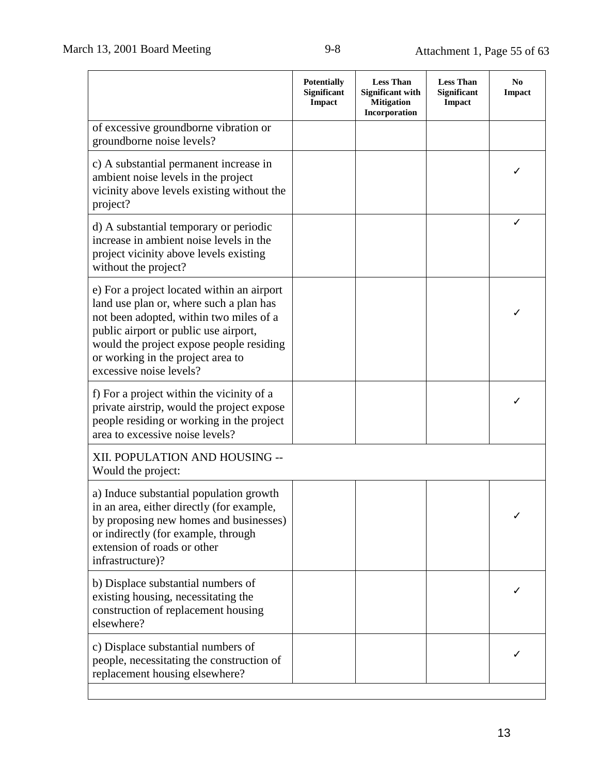|                                                                                                                                                                                                                                                                                       | <b>Potentially</b><br>Significant<br>Impact | <b>Less Than</b><br><b>Significant with</b><br><b>Mitigation</b><br>Incorporation | <b>Less Than</b><br>Significant<br>Impact | N <sub>0</sub><br>Impact |
|---------------------------------------------------------------------------------------------------------------------------------------------------------------------------------------------------------------------------------------------------------------------------------------|---------------------------------------------|-----------------------------------------------------------------------------------|-------------------------------------------|--------------------------|
| of excessive groundborne vibration or<br>groundborne noise levels?                                                                                                                                                                                                                    |                                             |                                                                                   |                                           |                          |
| c) A substantial permanent increase in<br>ambient noise levels in the project<br>vicinity above levels existing without the<br>project?                                                                                                                                               |                                             |                                                                                   |                                           |                          |
| d) A substantial temporary or periodic<br>increase in ambient noise levels in the<br>project vicinity above levels existing<br>without the project?                                                                                                                                   |                                             |                                                                                   |                                           |                          |
| e) For a project located within an airport<br>land use plan or, where such a plan has<br>not been adopted, within two miles of a<br>public airport or public use airport,<br>would the project expose people residing<br>or working in the project area to<br>excessive noise levels? |                                             |                                                                                   |                                           |                          |
| f) For a project within the vicinity of a<br>private airstrip, would the project expose<br>people residing or working in the project<br>area to excessive noise levels?                                                                                                               |                                             |                                                                                   |                                           |                          |
| XII. POPULATION AND HOUSING --<br>Would the project:                                                                                                                                                                                                                                  |                                             |                                                                                   |                                           |                          |
| a) Induce substantial population growth<br>in an area, either directly (for example,<br>by proposing new homes and businesses)<br>or indirectly (for example, through<br>extension of roads or other<br>infrastructure)?                                                              |                                             |                                                                                   |                                           |                          |
| b) Displace substantial numbers of<br>existing housing, necessitating the<br>construction of replacement housing<br>elsewhere?                                                                                                                                                        |                                             |                                                                                   |                                           |                          |
| c) Displace substantial numbers of<br>people, necessitating the construction of<br>replacement housing elsewhere?                                                                                                                                                                     |                                             |                                                                                   |                                           |                          |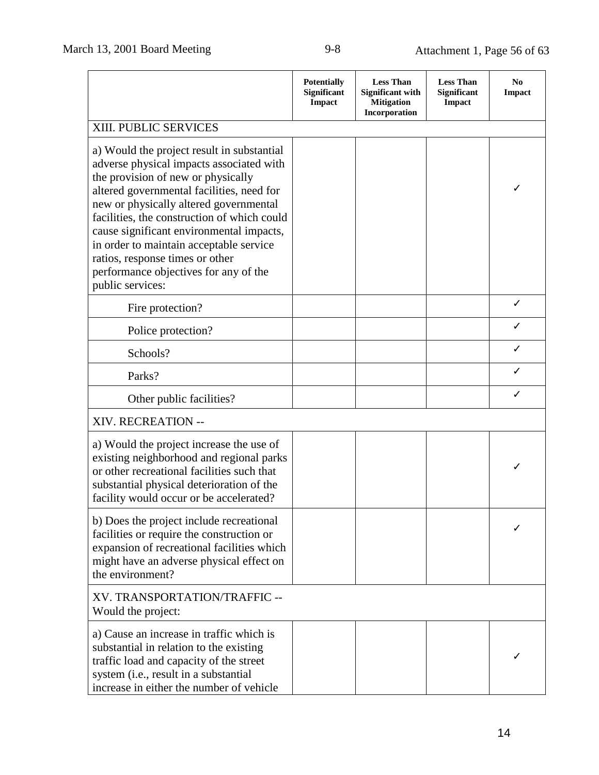|                                                                                                                                                                                                                                                                                                                                                                                                                                                           | <b>Potentially</b><br>Significant<br><b>Impact</b> | <b>Less Than</b><br><b>Significant with</b><br><b>Mitigation</b><br>Incorporation | <b>Less Than</b><br>Significant<br><b>Impact</b> | N <sub>0</sub><br>Impact |
|-----------------------------------------------------------------------------------------------------------------------------------------------------------------------------------------------------------------------------------------------------------------------------------------------------------------------------------------------------------------------------------------------------------------------------------------------------------|----------------------------------------------------|-----------------------------------------------------------------------------------|--------------------------------------------------|--------------------------|
| XIII. PUBLIC SERVICES                                                                                                                                                                                                                                                                                                                                                                                                                                     |                                                    |                                                                                   |                                                  |                          |
| a) Would the project result in substantial<br>adverse physical impacts associated with<br>the provision of new or physically<br>altered governmental facilities, need for<br>new or physically altered governmental<br>facilities, the construction of which could<br>cause significant environmental impacts,<br>in order to maintain acceptable service<br>ratios, response times or other<br>performance objectives for any of the<br>public services: |                                                    |                                                                                   |                                                  |                          |
| Fire protection?                                                                                                                                                                                                                                                                                                                                                                                                                                          |                                                    |                                                                                   |                                                  |                          |
| Police protection?                                                                                                                                                                                                                                                                                                                                                                                                                                        |                                                    |                                                                                   |                                                  |                          |
| Schools?                                                                                                                                                                                                                                                                                                                                                                                                                                                  |                                                    |                                                                                   |                                                  |                          |
| Parks?                                                                                                                                                                                                                                                                                                                                                                                                                                                    |                                                    |                                                                                   |                                                  |                          |
| Other public facilities?                                                                                                                                                                                                                                                                                                                                                                                                                                  |                                                    |                                                                                   |                                                  |                          |
| XIV. RECREATION --                                                                                                                                                                                                                                                                                                                                                                                                                                        |                                                    |                                                                                   |                                                  |                          |
| a) Would the project increase the use of<br>existing neighborhood and regional parks<br>or other recreational facilities such that<br>substantial physical deterioration of the<br>facility would occur or be accelerated?                                                                                                                                                                                                                                |                                                    |                                                                                   |                                                  |                          |
| b) Does the project include recreational<br>facilities or require the construction or<br>expansion of recreational facilities which<br>might have an adverse physical effect on<br>the environment?                                                                                                                                                                                                                                                       |                                                    |                                                                                   |                                                  |                          |
| XV. TRANSPORTATION/TRAFFIC --<br>Would the project:                                                                                                                                                                                                                                                                                                                                                                                                       |                                                    |                                                                                   |                                                  |                          |
| a) Cause an increase in traffic which is<br>substantial in relation to the existing<br>traffic load and capacity of the street<br>system (i.e., result in a substantial<br>increase in either the number of vehicle                                                                                                                                                                                                                                       |                                                    |                                                                                   |                                                  |                          |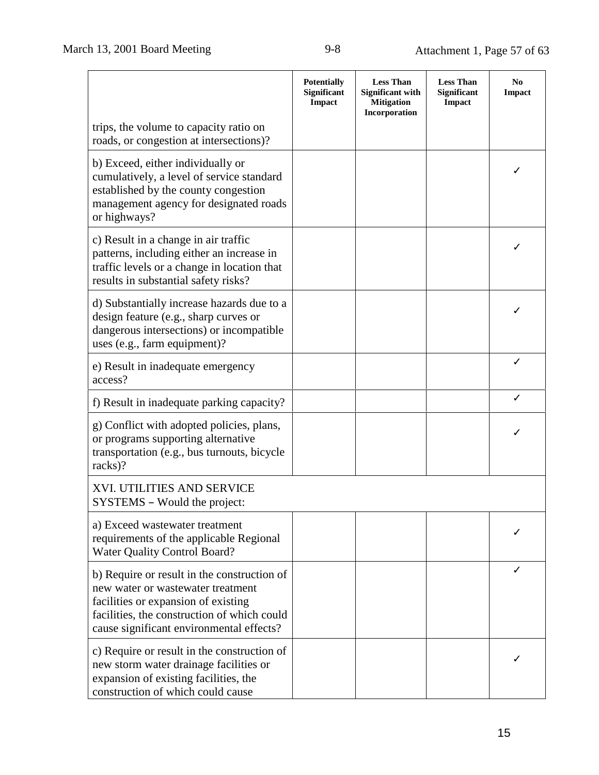|                                                                                                                                                                                                                    | <b>Potentially</b><br><b>Significant</b><br><b>Impact</b> | <b>Less Than</b><br><b>Significant with</b><br><b>Mitigation</b><br>Incorporation | <b>Less Than</b><br><b>Significant</b><br>Impact | N <sub>0</sub><br>Impact |
|--------------------------------------------------------------------------------------------------------------------------------------------------------------------------------------------------------------------|-----------------------------------------------------------|-----------------------------------------------------------------------------------|--------------------------------------------------|--------------------------|
| trips, the volume to capacity ratio on<br>roads, or congestion at intersections)?                                                                                                                                  |                                                           |                                                                                   |                                                  |                          |
| b) Exceed, either individually or<br>cumulatively, a level of service standard<br>established by the county congestion<br>management agency for designated roads<br>or highways?                                   |                                                           |                                                                                   |                                                  |                          |
| c) Result in a change in air traffic<br>patterns, including either an increase in<br>traffic levels or a change in location that<br>results in substantial safety risks?                                           |                                                           |                                                                                   |                                                  |                          |
| d) Substantially increase hazards due to a<br>design feature (e.g., sharp curves or<br>dangerous intersections) or incompatible<br>uses (e.g., farm equipment)?                                                    |                                                           |                                                                                   |                                                  |                          |
| e) Result in inadequate emergency<br>access?                                                                                                                                                                       |                                                           |                                                                                   |                                                  |                          |
| f) Result in inadequate parking capacity?                                                                                                                                                                          |                                                           |                                                                                   |                                                  | ✓                        |
| g) Conflict with adopted policies, plans,<br>or programs supporting alternative<br>transportation (e.g., bus turnouts, bicycle<br>racks)?                                                                          |                                                           |                                                                                   |                                                  |                          |
| <b>XVI. UTILITIES AND SERVICE</b><br>SYSTEMS – Would the project:                                                                                                                                                  |                                                           |                                                                                   |                                                  |                          |
| a) Exceed wastewater treatment<br>requirements of the applicable Regional<br><b>Water Quality Control Board?</b>                                                                                                   |                                                           |                                                                                   |                                                  |                          |
| b) Require or result in the construction of<br>new water or wastewater treatment<br>facilities or expansion of existing<br>facilities, the construction of which could<br>cause significant environmental effects? |                                                           |                                                                                   |                                                  |                          |
| c) Require or result in the construction of<br>new storm water drainage facilities or<br>expansion of existing facilities, the<br>construction of which could cause                                                |                                                           |                                                                                   |                                                  |                          |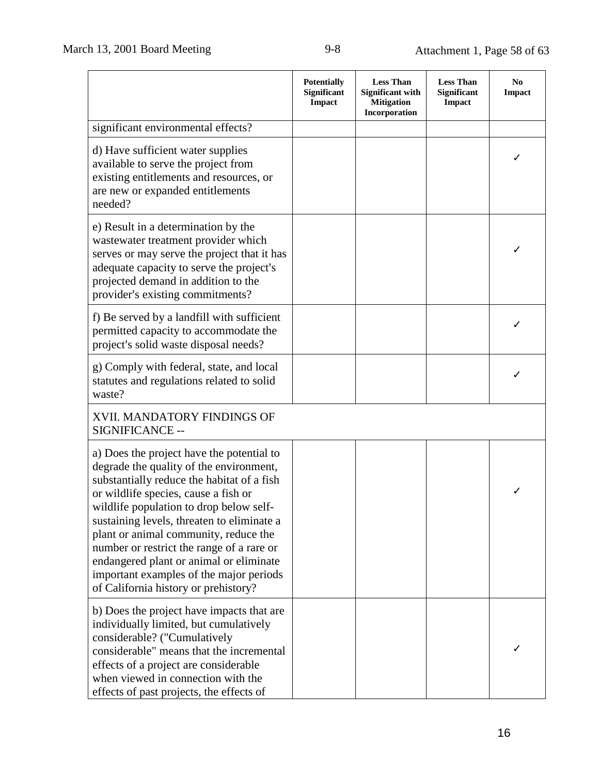|                                                                                                                                                                                                                                                                                                                                                                                                                                                                                         | <b>Potentially</b><br>Significant<br>Impact | <b>Less Than</b><br><b>Significant with</b><br><b>Mitigation</b><br>Incorporation | <b>Less Than</b><br>Significant<br><b>Impact</b> | N <sub>0</sub><br>Impact |
|-----------------------------------------------------------------------------------------------------------------------------------------------------------------------------------------------------------------------------------------------------------------------------------------------------------------------------------------------------------------------------------------------------------------------------------------------------------------------------------------|---------------------------------------------|-----------------------------------------------------------------------------------|--------------------------------------------------|--------------------------|
| significant environmental effects?                                                                                                                                                                                                                                                                                                                                                                                                                                                      |                                             |                                                                                   |                                                  |                          |
| d) Have sufficient water supplies<br>available to serve the project from<br>existing entitlements and resources, or<br>are new or expanded entitlements<br>needed?                                                                                                                                                                                                                                                                                                                      |                                             |                                                                                   |                                                  |                          |
| e) Result in a determination by the<br>wastewater treatment provider which<br>serves or may serve the project that it has<br>adequate capacity to serve the project's<br>projected demand in addition to the<br>provider's existing commitments?                                                                                                                                                                                                                                        |                                             |                                                                                   |                                                  |                          |
| f) Be served by a landfill with sufficient<br>permitted capacity to accommodate the<br>project's solid waste disposal needs?                                                                                                                                                                                                                                                                                                                                                            |                                             |                                                                                   |                                                  |                          |
| g) Comply with federal, state, and local<br>statutes and regulations related to solid<br>waste?                                                                                                                                                                                                                                                                                                                                                                                         |                                             |                                                                                   |                                                  |                          |
| XVII. MANDATORY FINDINGS OF<br>SIGNIFICANCE --                                                                                                                                                                                                                                                                                                                                                                                                                                          |                                             |                                                                                   |                                                  |                          |
| a) Does the project have the potential to<br>degrade the quality of the environment,<br>substantially reduce the habitat of a fish<br>or wildlife species, cause a fish or<br>wildlife population to drop below self-<br>sustaining levels, threaten to eliminate a<br>plant or animal community, reduce the<br>number or restrict the range of a rare or<br>endangered plant or animal or eliminate<br>important examples of the major periods<br>of California history or prehistory? |                                             |                                                                                   |                                                  |                          |
| b) Does the project have impacts that are<br>individually limited, but cumulatively<br>considerable? ("Cumulatively<br>considerable" means that the incremental<br>effects of a project are considerable<br>when viewed in connection with the<br>effects of past projects, the effects of                                                                                                                                                                                              |                                             |                                                                                   |                                                  |                          |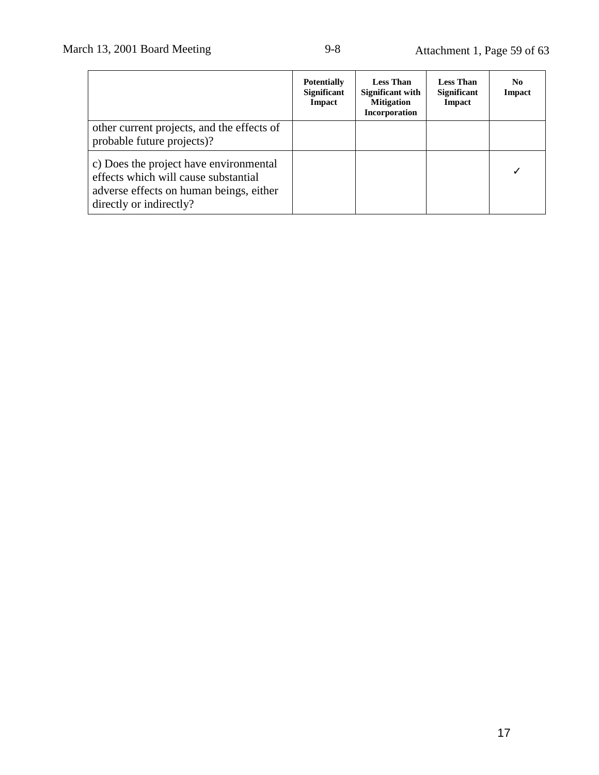|                                                                                                                                                      | <b>Potentially</b><br><b>Significant</b><br><b>Impact</b> | <b>Less Than</b><br><b>Significant with</b><br><b>Mitigation</b><br>Incorporation | <b>Less Than</b><br><b>Significant</b><br><b>Impact</b> | No.<br>Impact |
|------------------------------------------------------------------------------------------------------------------------------------------------------|-----------------------------------------------------------|-----------------------------------------------------------------------------------|---------------------------------------------------------|---------------|
| other current projects, and the effects of<br>probable future projects)?                                                                             |                                                           |                                                                                   |                                                         |               |
| c) Does the project have environmental<br>effects which will cause substantial<br>adverse effects on human beings, either<br>directly or indirectly? |                                                           |                                                                                   |                                                         |               |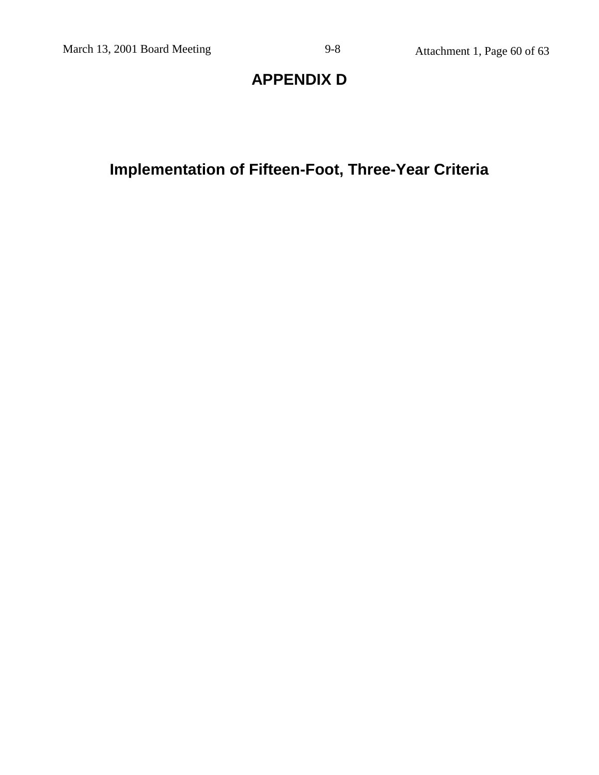# **APPENDIX D**

# **Implementation of Fifteen-Foot, Three-Year Criteria**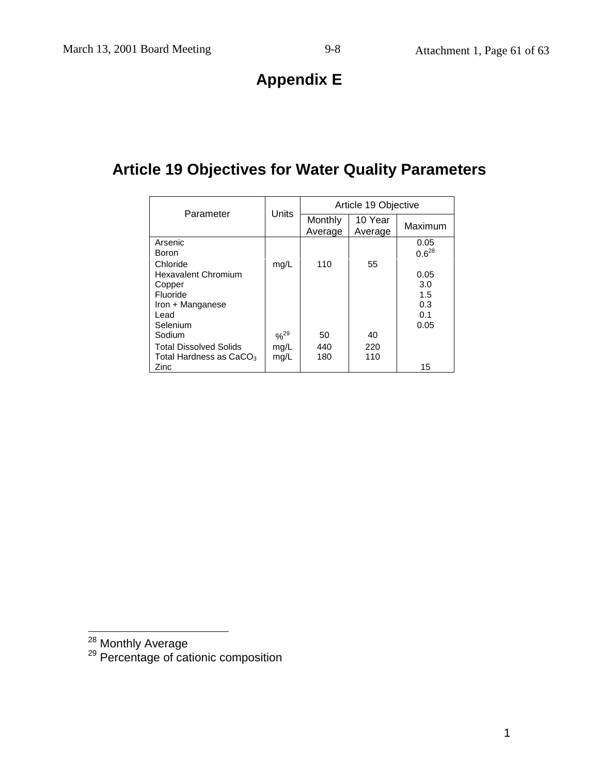# **Appendix E**

# **Article 19 Objectives for Water Quality Parameters**

| Parameter                           | Units     | Article 19 Objective |         |            |
|-------------------------------------|-----------|----------------------|---------|------------|
|                                     |           | Monthly              | 10 Year | Maximum    |
|                                     |           | Average              | Average |            |
| Arsenic                             |           |                      |         | 0.05       |
| Boron                               |           |                      |         | $0.6^{28}$ |
| Chloride                            | mg/L      | 110                  | 55      |            |
| <b>Hexavalent Chromium</b>          |           |                      |         | 0.05       |
| Copper                              |           |                      |         | 3.0        |
| Fluoride                            |           |                      |         | 1.5        |
| Iron + Manganese                    |           |                      |         | 0.3        |
| Lead                                |           |                      |         | 0.1        |
| Selenium                            |           |                      |         | 0.05       |
| Sodium                              | $% ^{29}$ | 50                   | 40      |            |
| <b>Total Dissolved Solids</b>       | mg/L      | 440                  | 220     |            |
| Total Hardness as CaCO <sub>3</sub> | mg/L      | 180                  | 110     |            |
| Zinc                                |           |                      |         | 15         |

l

<sup>28</sup> Monthly Average<br><sup>29</sup> Percentage of cationic composition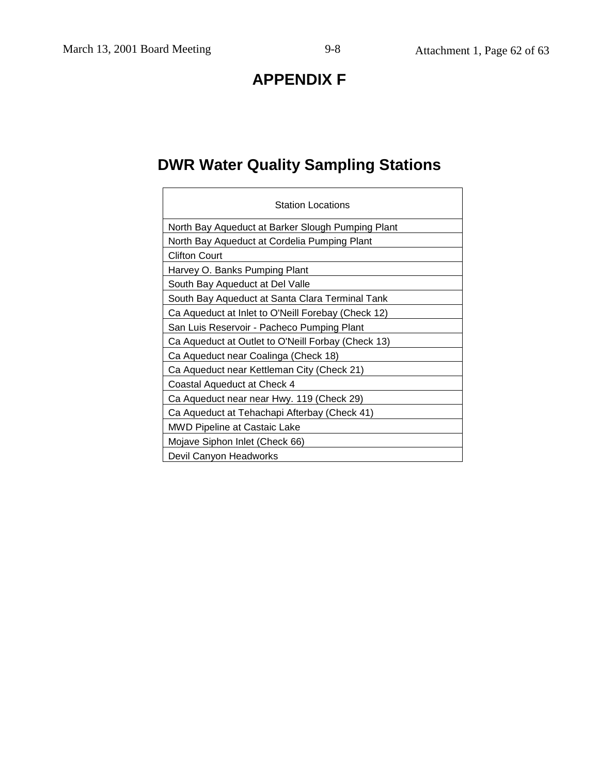# **APPENDIX F**

# **DWR Water Quality Sampling Stations**

| <b>Station Locations</b>                           |
|----------------------------------------------------|
| North Bay Aqueduct at Barker Slough Pumping Plant  |
| North Bay Aqueduct at Cordelia Pumping Plant       |
| <b>Clifton Court</b>                               |
| Harvey O. Banks Pumping Plant                      |
| South Bay Aqueduct at Del Valle                    |
| South Bay Aqueduct at Santa Clara Terminal Tank    |
| Ca Aqueduct at Inlet to O'Neill Forebay (Check 12) |
| San Luis Reservoir - Pacheco Pumping Plant         |
| Ca Aqueduct at Outlet to O'Neill Forbay (Check 13) |
| Ca Aqueduct near Coalinga (Check 18)               |
| Ca Aqueduct near Kettleman City (Check 21)         |
| Coastal Aqueduct at Check 4                        |
| Ca Aqueduct near near Hwy. 119 (Check 29)          |
| Ca Aqueduct at Tehachapi Afterbay (Check 41)       |
| MWD Pipeline at Castaic Lake                       |
| Mojave Siphon Inlet (Check 66)                     |
| Devil Canyon Headworks                             |